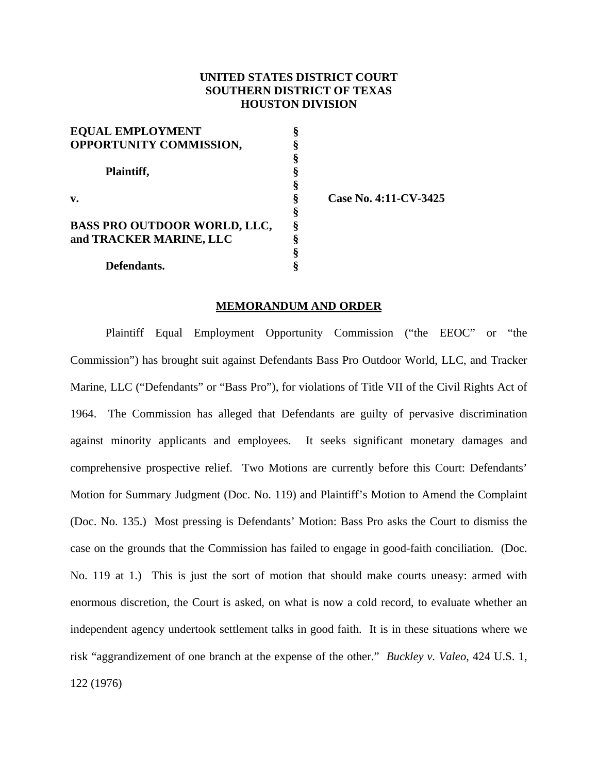# **UNITED STATES DISTRICT COURT SOUTHERN DISTRICT OF TEXAS HOUSTON DIVISION**

| <b>EQUAL EMPLOYMENT</b>             |   |
|-------------------------------------|---|
| OPPORTUNITY COMMISSION,             |   |
|                                     | ş |
| Plaintiff,                          | ş |
|                                     |   |
| v.                                  | ş |
|                                     | § |
| <b>BASS PRO OUTDOOR WORLD, LLC,</b> |   |
| and TRACKER MARINE, LLC             | 8 |
|                                     |   |
| Defendants.                         |   |

**v. § Case No. 4:11-CV-3425** 

# **MEMORANDUM AND ORDER**

 Plaintiff Equal Employment Opportunity Commission ("the EEOC" or "the Commission") has brought suit against Defendants Bass Pro Outdoor World, LLC, and Tracker Marine, LLC ("Defendants" or "Bass Pro"), for violations of Title VII of the Civil Rights Act of 1964. The Commission has alleged that Defendants are guilty of pervasive discrimination against minority applicants and employees. It seeks significant monetary damages and comprehensive prospective relief. Two Motions are currently before this Court: Defendants' Motion for Summary Judgment (Doc. No. 119) and Plaintiff's Motion to Amend the Complaint (Doc. No. 135.) Most pressing is Defendants' Motion: Bass Pro asks the Court to dismiss the case on the grounds that the Commission has failed to engage in good-faith conciliation. (Doc. No. 119 at 1.) This is just the sort of motion that should make courts uneasy: armed with enormous discretion, the Court is asked, on what is now a cold record, to evaluate whether an independent agency undertook settlement talks in good faith. It is in these situations where we risk "aggrandizement of one branch at the expense of the other." *Buckley v. Valeo*, 424 U.S. 1, 122 (1976)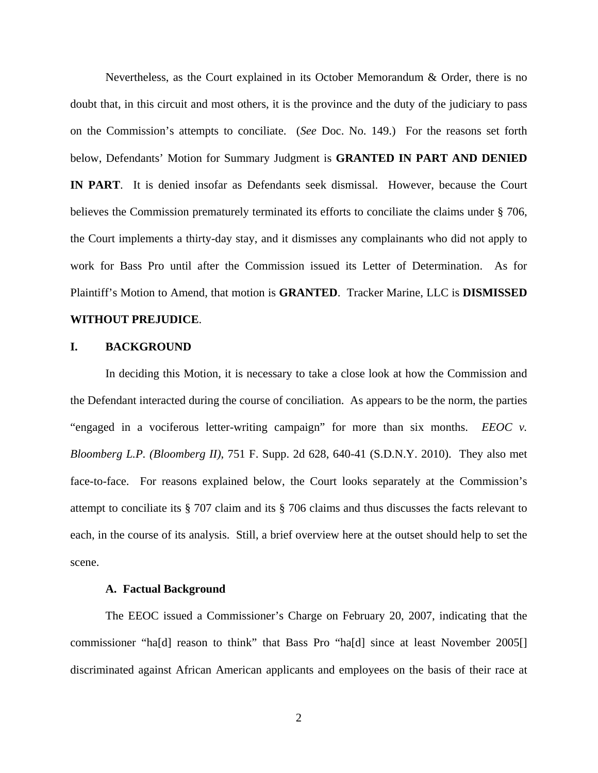Nevertheless, as the Court explained in its October Memorandum & Order, there is no doubt that, in this circuit and most others, it is the province and the duty of the judiciary to pass on the Commission's attempts to conciliate. (*See* Doc. No. 149.) For the reasons set forth below, Defendants' Motion for Summary Judgment is **GRANTED IN PART AND DENIED IN PART**. It is denied insofar as Defendants seek dismissal. However, because the Court believes the Commission prematurely terminated its efforts to conciliate the claims under § 706, the Court implements a thirty-day stay, and it dismisses any complainants who did not apply to work for Bass Pro until after the Commission issued its Letter of Determination. As for Plaintiff's Motion to Amend, that motion is **GRANTED**. Tracker Marine, LLC is **DISMISSED WITHOUT PREJUDICE**.

# **I. BACKGROUND**

In deciding this Motion, it is necessary to take a close look at how the Commission and the Defendant interacted during the course of conciliation. As appears to be the norm, the parties "engaged in a vociferous letter-writing campaign" for more than six months. *EEOC v. Bloomberg L.P. (Bloomberg II)*, 751 F. Supp. 2d 628, 640-41 (S.D.N.Y. 2010). They also met face-to-face. For reasons explained below, the Court looks separately at the Commission's attempt to conciliate its § 707 claim and its § 706 claims and thus discusses the facts relevant to each, in the course of its analysis. Still, a brief overview here at the outset should help to set the scene.

#### **A. Factual Background**

The EEOC issued a Commissioner's Charge on February 20, 2007, indicating that the commissioner "ha[d] reason to think" that Bass Pro "ha[d] since at least November 2005[] discriminated against African American applicants and employees on the basis of their race at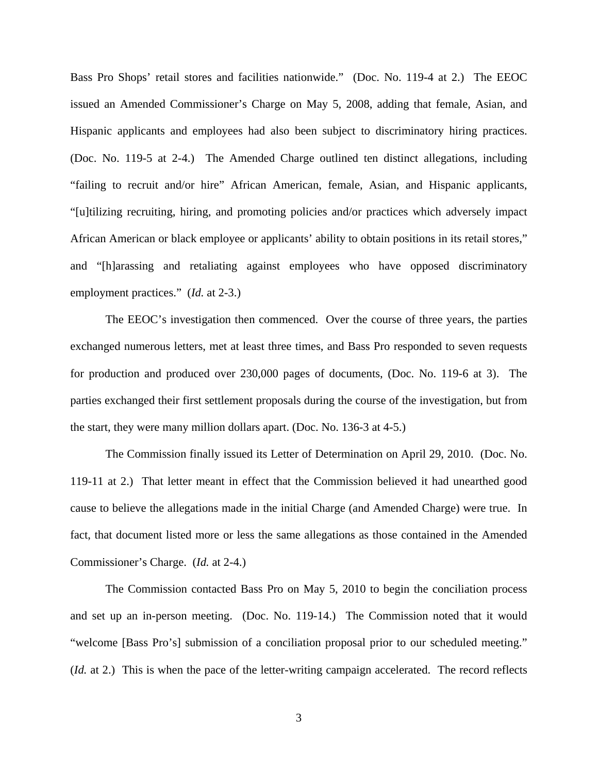Bass Pro Shops' retail stores and facilities nationwide." (Doc. No. 119-4 at 2.) The EEOC issued an Amended Commissioner's Charge on May 5, 2008, adding that female, Asian, and Hispanic applicants and employees had also been subject to discriminatory hiring practices. (Doc. No. 119-5 at 2-4.) The Amended Charge outlined ten distinct allegations, including "failing to recruit and/or hire" African American, female, Asian, and Hispanic applicants, "[u]tilizing recruiting, hiring, and promoting policies and/or practices which adversely impact African American or black employee or applicants' ability to obtain positions in its retail stores," and "[h]arassing and retaliating against employees who have opposed discriminatory employment practices." (*Id.* at 2-3.)

 The EEOC's investigation then commenced. Over the course of three years, the parties exchanged numerous letters, met at least three times, and Bass Pro responded to seven requests for production and produced over 230,000 pages of documents, (Doc. No. 119-6 at 3). The parties exchanged their first settlement proposals during the course of the investigation, but from the start, they were many million dollars apart. (Doc. No. 136-3 at 4-5.)

 The Commission finally issued its Letter of Determination on April 29, 2010. (Doc. No. 119-11 at 2.) That letter meant in effect that the Commission believed it had unearthed good cause to believe the allegations made in the initial Charge (and Amended Charge) were true. In fact, that document listed more or less the same allegations as those contained in the Amended Commissioner's Charge. (*Id.* at 2-4.)

The Commission contacted Bass Pro on May 5, 2010 to begin the conciliation process and set up an in-person meeting. (Doc. No. 119-14.) The Commission noted that it would "welcome [Bass Pro's] submission of a conciliation proposal prior to our scheduled meeting." (*Id.* at 2.) This is when the pace of the letter-writing campaign accelerated. The record reflects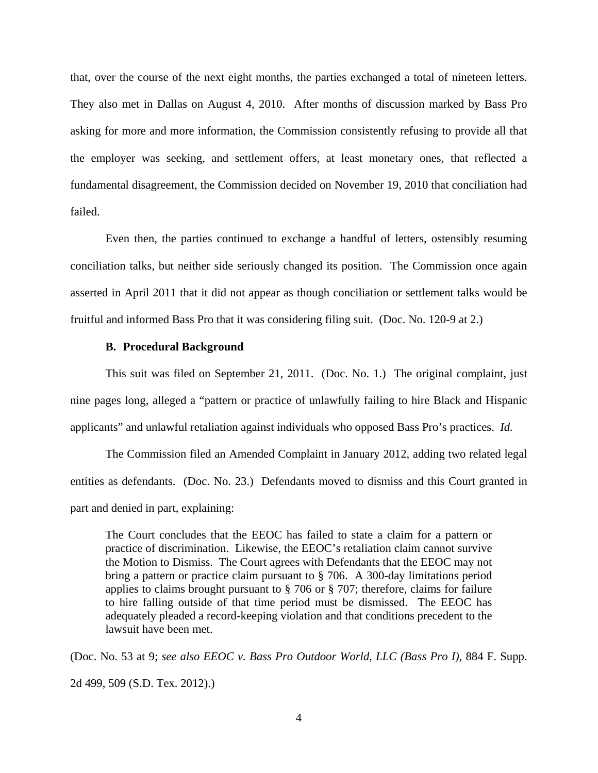that, over the course of the next eight months, the parties exchanged a total of nineteen letters. They also met in Dallas on August 4, 2010. After months of discussion marked by Bass Pro asking for more and more information, the Commission consistently refusing to provide all that the employer was seeking, and settlement offers, at least monetary ones, that reflected a fundamental disagreement, the Commission decided on November 19, 2010 that conciliation had failed.

 Even then, the parties continued to exchange a handful of letters, ostensibly resuming conciliation talks, but neither side seriously changed its position. The Commission once again asserted in April 2011 that it did not appear as though conciliation or settlement talks would be fruitful and informed Bass Pro that it was considering filing suit. (Doc. No. 120-9 at 2.)

#### **B. Procedural Background**

This suit was filed on September 21, 2011. (Doc. No. 1.) The original complaint, just nine pages long, alleged a "pattern or practice of unlawfully failing to hire Black and Hispanic applicants" and unlawful retaliation against individuals who opposed Bass Pro's practices. *Id.*

The Commission filed an Amended Complaint in January 2012, adding two related legal entities as defendants. (Doc. No. 23.) Defendants moved to dismiss and this Court granted in part and denied in part, explaining:

The Court concludes that the EEOC has failed to state a claim for a pattern or practice of discrimination. Likewise, the EEOC's retaliation claim cannot survive the Motion to Dismiss. The Court agrees with Defendants that the EEOC may not bring a pattern or practice claim pursuant to § 706. A 300-day limitations period applies to claims brought pursuant to § 706 or § 707; therefore, claims for failure to hire falling outside of that time period must be dismissed. The EEOC has adequately pleaded a record-keeping violation and that conditions precedent to the lawsuit have been met.

(Doc. No. 53 at 9; *see also EEOC v. Bass Pro Outdoor World, LLC (Bass Pro I)*, 884 F. Supp. 2d 499, 509 (S.D. Tex. 2012).)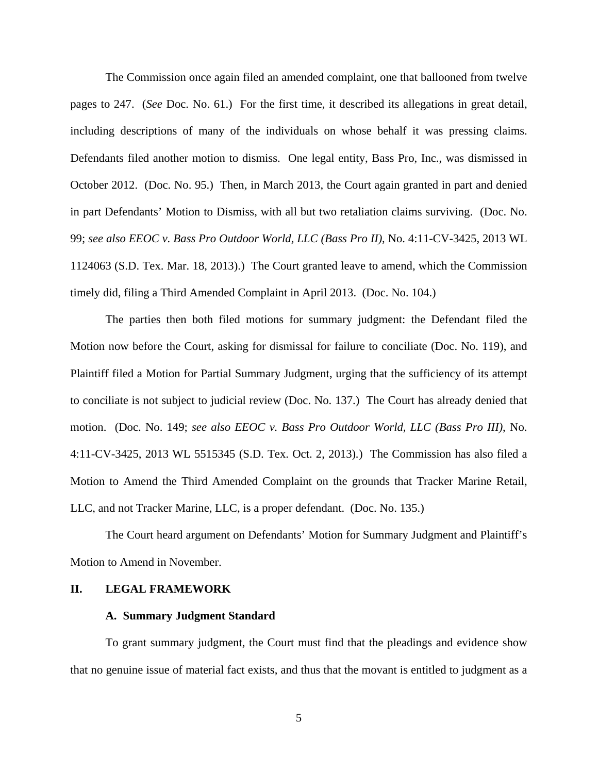The Commission once again filed an amended complaint, one that ballooned from twelve pages to 247. (*See* Doc. No. 61.) For the first time, it described its allegations in great detail, including descriptions of many of the individuals on whose behalf it was pressing claims. Defendants filed another motion to dismiss. One legal entity, Bass Pro, Inc., was dismissed in October 2012. (Doc. No. 95.) Then, in March 2013, the Court again granted in part and denied in part Defendants' Motion to Dismiss, with all but two retaliation claims surviving. (Doc. No. 99; *see also EEOC v. Bass Pro Outdoor World, LLC (Bass Pro II)*, No. 4:11-CV-3425, 2013 WL 1124063 (S.D. Tex. Mar. 18, 2013).) The Court granted leave to amend, which the Commission timely did, filing a Third Amended Complaint in April 2013. (Doc. No. 104.)

 The parties then both filed motions for summary judgment: the Defendant filed the Motion now before the Court, asking for dismissal for failure to conciliate (Doc. No. 119), and Plaintiff filed a Motion for Partial Summary Judgment, urging that the sufficiency of its attempt to conciliate is not subject to judicial review (Doc. No. 137.) The Court has already denied that motion. (Doc. No. 149; *see also EEOC v. Bass Pro Outdoor World, LLC (Bass Pro III)*, No. 4:11-CV-3425, 2013 WL 5515345 (S.D. Tex. Oct. 2, 2013)*.*) The Commission has also filed a Motion to Amend the Third Amended Complaint on the grounds that Tracker Marine Retail, LLC, and not Tracker Marine, LLC, is a proper defendant. (Doc. No. 135.)

The Court heard argument on Defendants' Motion for Summary Judgment and Plaintiff's Motion to Amend in November.

### **II. LEGAL FRAMEWORK**

#### **A. Summary Judgment Standard**

To grant summary judgment, the Court must find that the pleadings and evidence show that no genuine issue of material fact exists, and thus that the movant is entitled to judgment as a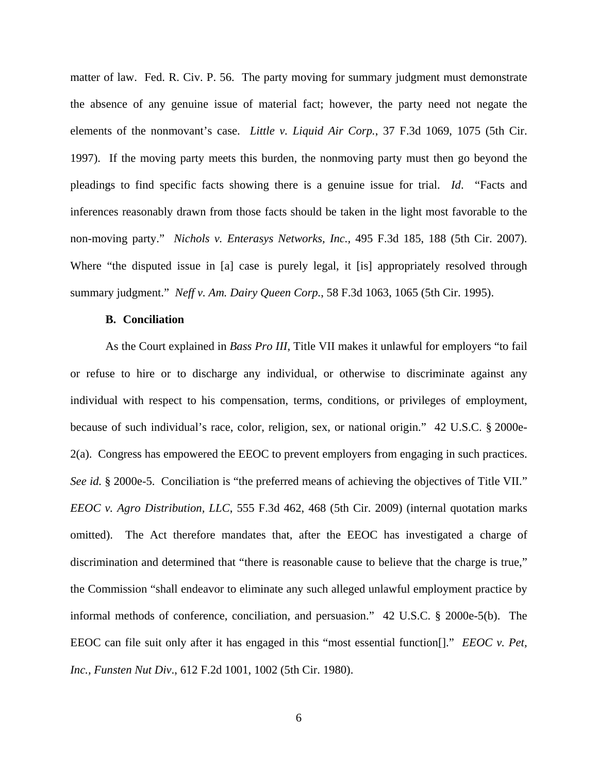matter of law. Fed. R. Civ. P. 56. The party moving for summary judgment must demonstrate the absence of any genuine issue of material fact; however, the party need not negate the elements of the nonmovant's case. *Little v. Liquid Air Corp.*, 37 F.3d 1069, 1075 (5th Cir. 1997). If the moving party meets this burden, the nonmoving party must then go beyond the pleadings to find specific facts showing there is a genuine issue for trial. *Id*. "Facts and inferences reasonably drawn from those facts should be taken in the light most favorable to the non-moving party." *Nichols v. Enterasys Networks, Inc.,* 495 F.3d 185, 188 (5th Cir. 2007). Where "the disputed issue in [a] case is purely legal, it [is] appropriately resolved through summary judgment." *Neff v. Am. Dairy Queen Corp.*, 58 F.3d 1063, 1065 (5th Cir. 1995).

#### **B. Conciliation**

As the Court explained in *Bass Pro III*, Title VII makes it unlawful for employers "to fail or refuse to hire or to discharge any individual, or otherwise to discriminate against any individual with respect to his compensation, terms, conditions, or privileges of employment, because of such individual's race, color, religion, sex, or national origin." 42 U.S.C. § 2000e-2(a). Congress has empowered the EEOC to prevent employers from engaging in such practices. *See id.* § 2000e-5. Conciliation is "the preferred means of achieving the objectives of Title VII." *EEOC v. Agro Distribution, LLC*, 555 F.3d 462, 468 (5th Cir. 2009) (internal quotation marks omitted). The Act therefore mandates that, after the EEOC has investigated a charge of discrimination and determined that "there is reasonable cause to believe that the charge is true," the Commission "shall endeavor to eliminate any such alleged unlawful employment practice by informal methods of conference, conciliation, and persuasion." 42 U.S.C. § 2000e-5(b). The EEOC can file suit only after it has engaged in this "most essential function[]." *EEOC v. Pet, Inc., Funsten Nut Div*., 612 F.2d 1001, 1002 (5th Cir. 1980).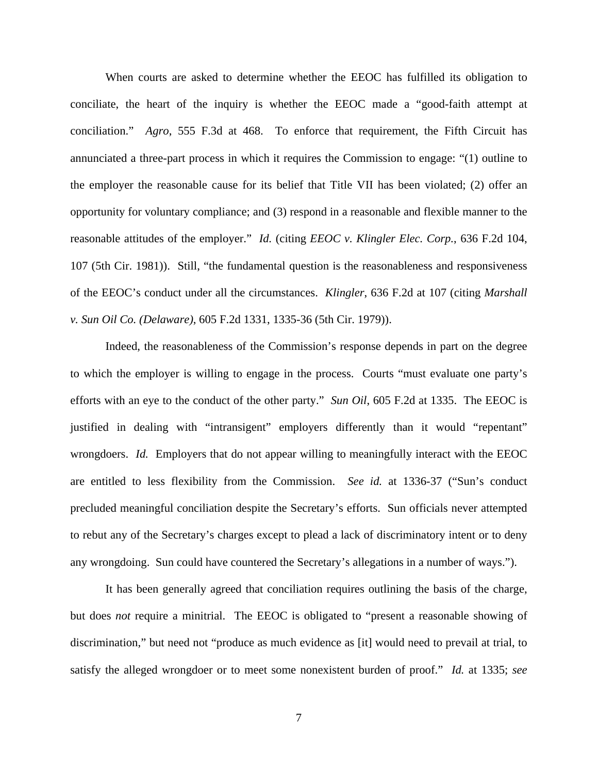When courts are asked to determine whether the EEOC has fulfilled its obligation to conciliate, the heart of the inquiry is whether the EEOC made a "good-faith attempt at conciliation." *Agro*, 555 F.3d at 468. To enforce that requirement, the Fifth Circuit has annunciated a three-part process in which it requires the Commission to engage: "(1) outline to the employer the reasonable cause for its belief that Title VII has been violated; (2) offer an opportunity for voluntary compliance; and (3) respond in a reasonable and flexible manner to the reasonable attitudes of the employer." *Id.* (citing *EEOC v. Klingler Elec. Corp.*, 636 F.2d 104, 107 (5th Cir. 1981)). Still, "the fundamental question is the reasonableness and responsiveness of the EEOC's conduct under all the circumstances. *Klingler*, 636 F.2d at 107 (citing *Marshall v. Sun Oil Co. (Delaware)*, 605 F.2d 1331, 1335-36 (5th Cir. 1979)).

Indeed, the reasonableness of the Commission's response depends in part on the degree to which the employer is willing to engage in the process. Courts "must evaluate one party's efforts with an eye to the conduct of the other party." *Sun Oil*, 605 F.2d at 1335. The EEOC is justified in dealing with "intransigent" employers differently than it would "repentant" wrongdoers. *Id.* Employers that do not appear willing to meaningfully interact with the EEOC are entitled to less flexibility from the Commission. *See id.* at 1336-37 ("Sun's conduct precluded meaningful conciliation despite the Secretary's efforts. Sun officials never attempted to rebut any of the Secretary's charges except to plead a lack of discriminatory intent or to deny any wrongdoing. Sun could have countered the Secretary's allegations in a number of ways.").

It has been generally agreed that conciliation requires outlining the basis of the charge, but does *not* require a minitrial. The EEOC is obligated to "present a reasonable showing of discrimination," but need not "produce as much evidence as [it] would need to prevail at trial, to satisfy the alleged wrongdoer or to meet some nonexistent burden of proof." *Id.* at 1335; *see*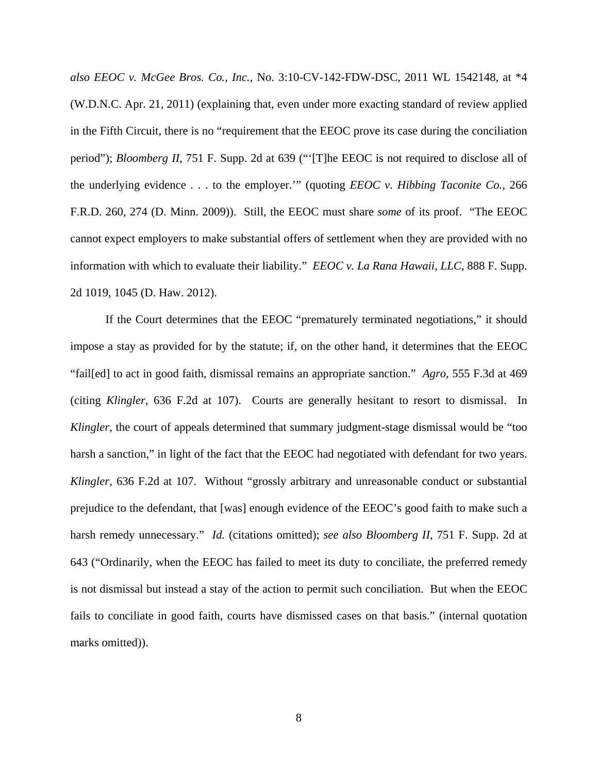*also EEOC v. McGee Bros. Co., Inc.*, No. 3:10-CV-142-FDW-DSC, 2011 WL 1542148, at \*4 (W.D.N.C. Apr. 21, 2011) (explaining that, even under more exacting standard of review applied in the Fifth Circuit, there is no "requirement that the EEOC prove its case during the conciliation period"); *Bloomberg II*, 751 F. Supp. 2d at 639 ("'[T]he EEOC is not required to disclose all of the underlying evidence . . . to the employer.'" (quoting *EEOC v. Hibbing Taconite Co.*, 266 F.R.D. 260, 274 (D. Minn. 2009)). Still, the EEOC must share *some* of its proof. "The EEOC cannot expect employers to make substantial offers of settlement when they are provided with no information with which to evaluate their liability." *EEOC v. La Rana Hawaii, LLC*, 888 F. Supp. 2d 1019, 1045 (D. Haw. 2012).

If the Court determines that the EEOC "prematurely terminated negotiations," it should impose a stay as provided for by the statute; if, on the other hand, it determines that the EEOC "fail[ed] to act in good faith, dismissal remains an appropriate sanction." *Agro*, 555 F.3d at 469 (citing *Klingler*, 636 F.2d at 107). Courts are generally hesitant to resort to dismissal. In *Klingler*, the court of appeals determined that summary judgment-stage dismissal would be "too harsh a sanction," in light of the fact that the EEOC had negotiated with defendant for two years. *Klingler*, 636 F.2d at 107. Without "grossly arbitrary and unreasonable conduct or substantial prejudice to the defendant, that [was] enough evidence of the EEOC's good faith to make such a harsh remedy unnecessary." *Id.* (citations omitted); *see also Bloomberg II*, 751 F. Supp. 2d at 643 ("Ordinarily, when the EEOC has failed to meet its duty to conciliate, the preferred remedy is not dismissal but instead a stay of the action to permit such conciliation. But when the EEOC fails to conciliate in good faith, courts have dismissed cases on that basis." (internal quotation marks omitted)).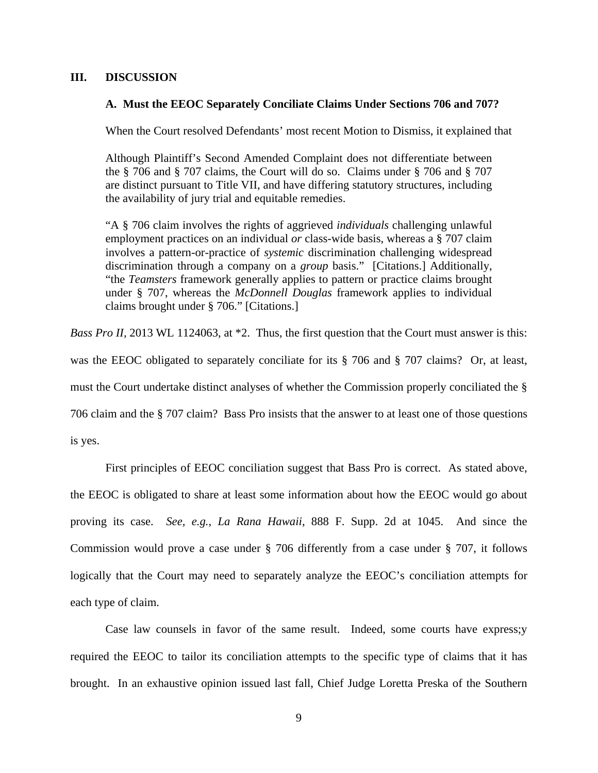# **III. DISCUSSION**

# **A. Must the EEOC Separately Conciliate Claims Under Sections 706 and 707?**

When the Court resolved Defendants' most recent Motion to Dismiss, it explained that

Although Plaintiff's Second Amended Complaint does not differentiate between the § 706 and § 707 claims, the Court will do so. Claims under § 706 and § 707 are distinct pursuant to Title VII, and have differing statutory structures, including the availability of jury trial and equitable remedies.

"A § 706 claim involves the rights of aggrieved *individuals* challenging unlawful employment practices on an individual *or* class-wide basis, whereas a § 707 claim involves a pattern-or-practice of *systemic* discrimination challenging widespread discrimination through a company on a *group* basis." [Citations.] Additionally, "the *Teamsters* framework generally applies to pattern or practice claims brought under § 707, whereas the *McDonnell Douglas* framework applies to individual claims brought under § 706." [Citations.]

*Bass Pro II,* 2013 WL 1124063, at \*2. Thus, the first question that the Court must answer is this:

was the EEOC obligated to separately conciliate for its § 706 and § 707 claims? Or, at least,

must the Court undertake distinct analyses of whether the Commission properly conciliated the §

706 claim and the § 707 claim? Bass Pro insists that the answer to at least one of those questions

is yes.

First principles of EEOC conciliation suggest that Bass Pro is correct. As stated above, the EEOC is obligated to share at least some information about how the EEOC would go about proving its case. *See, e.g.*, *La Rana Hawaii*, 888 F. Supp. 2d at 1045.And since the Commission would prove a case under § 706 differently from a case under § 707, it follows logically that the Court may need to separately analyze the EEOC's conciliation attempts for each type of claim.

Case law counsels in favor of the same result. Indeed, some courts have express;y required the EEOC to tailor its conciliation attempts to the specific type of claims that it has brought. In an exhaustive opinion issued last fall, Chief Judge Loretta Preska of the Southern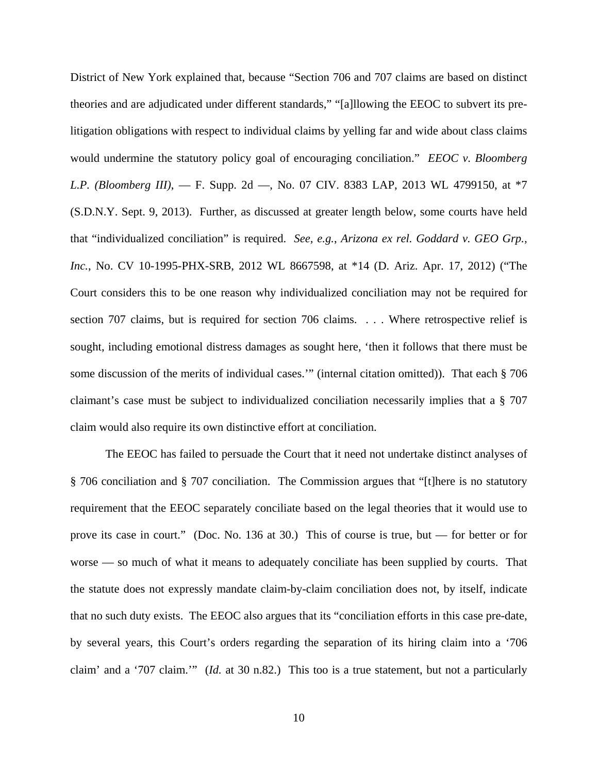District of New York explained that, because "Section 706 and 707 claims are based on distinct theories and are adjudicated under different standards," "[a]llowing the EEOC to subvert its prelitigation obligations with respect to individual claims by yelling far and wide about class claims would undermine the statutory policy goal of encouraging conciliation." *EEOC v. Bloomberg L.P. (Bloomberg III)*, — F. Supp. 2d —, No. 07 CIV. 8383 LAP, 2013 WL 4799150, at \*7 (S.D.N.Y. Sept. 9, 2013). Further, as discussed at greater length below, some courts have held that "individualized conciliation" is required. *See, e.g.*, *Arizona ex rel. Goddard v. GEO Grp., Inc.*, No. CV 10-1995-PHX-SRB, 2012 WL 8667598, at \*14 (D. Ariz. Apr. 17, 2012) ("The Court considers this to be one reason why individualized conciliation may not be required for section 707 claims, but is required for section 706 claims. . . . Where retrospective relief is sought, including emotional distress damages as sought here, 'then it follows that there must be some discussion of the merits of individual cases.'" (internal citation omitted)). That each § 706 claimant's case must be subject to individualized conciliation necessarily implies that a § 707 claim would also require its own distinctive effort at conciliation.

 The EEOC has failed to persuade the Court that it need not undertake distinct analyses of § 706 conciliation and § 707 conciliation. The Commission argues that "[t]here is no statutory requirement that the EEOC separately conciliate based on the legal theories that it would use to prove its case in court." (Doc. No. 136 at 30.) This of course is true, but — for better or for worse — so much of what it means to adequately conciliate has been supplied by courts. That the statute does not expressly mandate claim-by-claim conciliation does not, by itself, indicate that no such duty exists. The EEOC also argues that its "conciliation efforts in this case pre-date, by several years, this Court's orders regarding the separation of its hiring claim into a '706 claim' and a '707 claim.'" (*Id.* at 30 n.82.) This too is a true statement, but not a particularly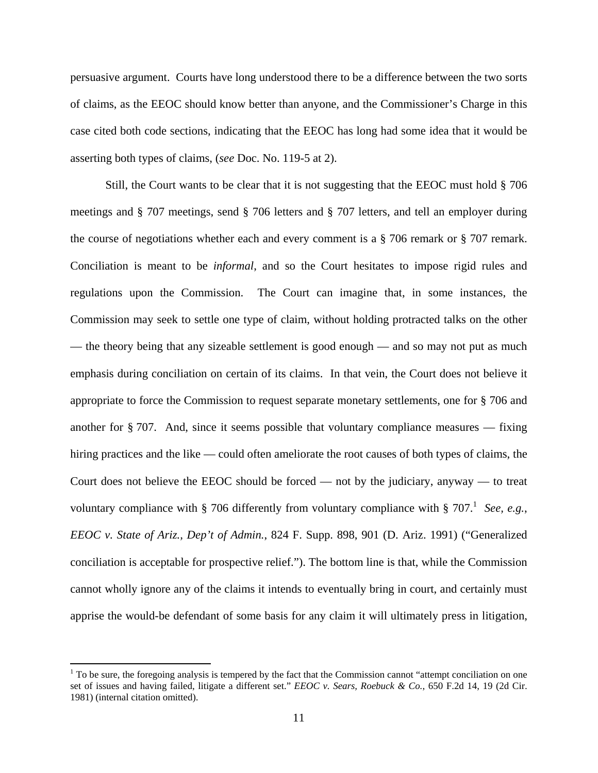persuasive argument. Courts have long understood there to be a difference between the two sorts of claims, as the EEOC should know better than anyone, and the Commissioner's Charge in this case cited both code sections, indicating that the EEOC has long had some idea that it would be asserting both types of claims, (*see* Doc. No. 119-5 at 2).

 Still, the Court wants to be clear that it is not suggesting that the EEOC must hold § 706 meetings and § 707 meetings, send § 706 letters and § 707 letters, and tell an employer during the course of negotiations whether each and every comment is a  $\S$  706 remark or  $\S$  707 remark. Conciliation is meant to be *informal*, and so the Court hesitates to impose rigid rules and regulations upon the Commission. The Court can imagine that, in some instances, the Commission may seek to settle one type of claim, without holding protracted talks on the other — the theory being that any sizeable settlement is good enough — and so may not put as much emphasis during conciliation on certain of its claims. In that vein, the Court does not believe it appropriate to force the Commission to request separate monetary settlements, one for § 706 and another for  $\S 707$ . And, since it seems possible that voluntary compliance measures — fixing hiring practices and the like — could often ameliorate the root causes of both types of claims, the Court does not believe the EEOC should be forced — not by the judiciary, anyway — to treat voluntary compliance with  $\S$  706 differently from voluntary compliance with  $\S$  707. See, e.g., *EEOC v. State of Ariz., Dep't of Admin.*, 824 F. Supp. 898, 901 (D. Ariz. 1991) ("Generalized conciliation is acceptable for prospective relief."). The bottom line is that, while the Commission cannot wholly ignore any of the claims it intends to eventually bring in court, and certainly must apprise the would-be defendant of some basis for any claim it will ultimately press in litigation,

 $1$  To be sure, the foregoing analysis is tempered by the fact that the Commission cannot "attempt conciliation on one set of issues and having failed, litigate a different set." *EEOC v. Sears, Roebuck & Co.*, 650 F.2d 14, 19 (2d Cir. 1981) (internal citation omitted).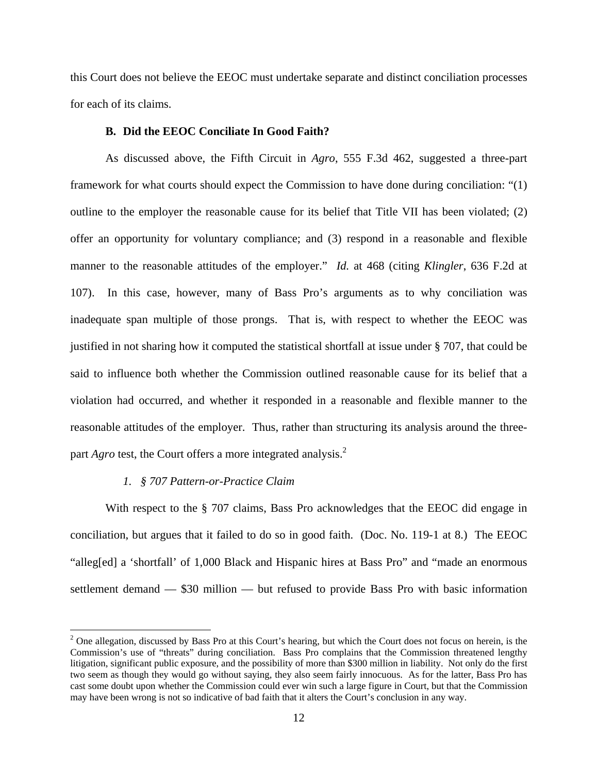this Court does not believe the EEOC must undertake separate and distinct conciliation processes for each of its claims.

#### **B. Did the EEOC Conciliate In Good Faith?**

As discussed above, the Fifth Circuit in *Agro*, 555 F.3d 462, suggested a three-part framework for what courts should expect the Commission to have done during conciliation: "(1) outline to the employer the reasonable cause for its belief that Title VII has been violated; (2) offer an opportunity for voluntary compliance; and (3) respond in a reasonable and flexible manner to the reasonable attitudes of the employer." *Id.* at 468 (citing *Klingler*, 636 F.2d at 107). In this case, however, many of Bass Pro's arguments as to why conciliation was inadequate span multiple of those prongs. That is, with respect to whether the EEOC was justified in not sharing how it computed the statistical shortfall at issue under § 707, that could be said to influence both whether the Commission outlined reasonable cause for its belief that a violation had occurred, and whether it responded in a reasonable and flexible manner to the reasonable attitudes of the employer. Thus, rather than structuring its analysis around the threepart *Agro* test, the Court offers a more integrated analysis.<sup>2</sup>

#### *1. § 707 Pattern-or-Practice Claim*

With respect to the § 707 claims, Bass Pro acknowledges that the EEOC did engage in conciliation, but argues that it failed to do so in good faith. (Doc. No. 119-1 at 8.) The EEOC "alleg[ed] a 'shortfall' of 1,000 Black and Hispanic hires at Bass Pro" and "made an enormous settlement demand — \$30 million — but refused to provide Bass Pro with basic information

 $2$  One allegation, discussed by Bass Pro at this Court's hearing, but which the Court does not focus on herein, is the Commission's use of "threats" during conciliation. Bass Pro complains that the Commission threatened lengthy litigation, significant public exposure, and the possibility of more than \$300 million in liability. Not only do the first two seem as though they would go without saying, they also seem fairly innocuous. As for the latter, Bass Pro has cast some doubt upon whether the Commission could ever win such a large figure in Court, but that the Commission may have been wrong is not so indicative of bad faith that it alters the Court's conclusion in any way.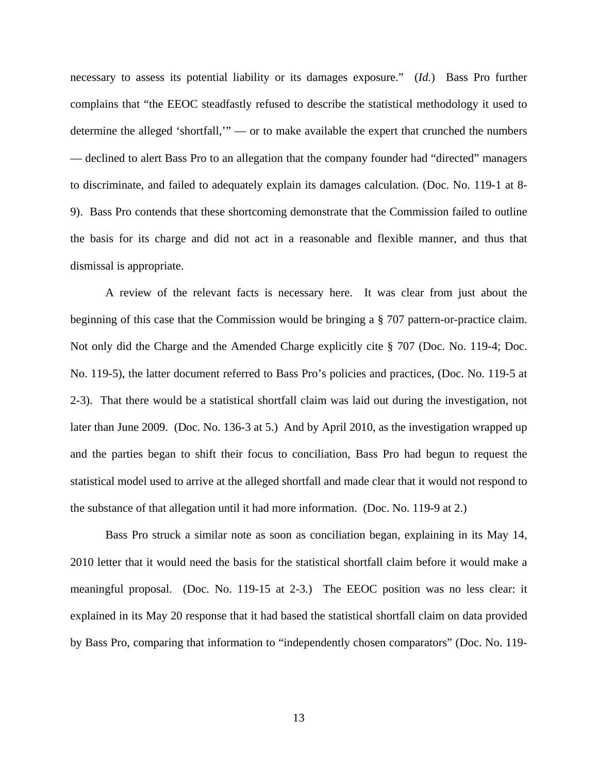necessary to assess its potential liability or its damages exposure." (*Id.*) Bass Pro further complains that "the EEOC steadfastly refused to describe the statistical methodology it used to determine the alleged 'shortfall,'" — or to make available the expert that crunched the numbers — declined to alert Bass Pro to an allegation that the company founder had "directed" managers to discriminate, and failed to adequately explain its damages calculation. (Doc. No. 119-1 at 8- 9). Bass Pro contends that these shortcoming demonstrate that the Commission failed to outline the basis for its charge and did not act in a reasonable and flexible manner, and thus that dismissal is appropriate.

A review of the relevant facts is necessary here. It was clear from just about the beginning of this case that the Commission would be bringing a § 707 pattern-or-practice claim. Not only did the Charge and the Amended Charge explicitly cite § 707 (Doc. No. 119-4; Doc. No. 119-5), the latter document referred to Bass Pro's policies and practices, (Doc. No. 119-5 at 2-3). That there would be a statistical shortfall claim was laid out during the investigation, not later than June 2009. (Doc. No. 136-3 at 5.) And by April 2010, as the investigation wrapped up and the parties began to shift their focus to conciliation, Bass Pro had begun to request the statistical model used to arrive at the alleged shortfall and made clear that it would not respond to the substance of that allegation until it had more information. (Doc. No. 119-9 at 2.)

Bass Pro struck a similar note as soon as conciliation began, explaining in its May 14, 2010 letter that it would need the basis for the statistical shortfall claim before it would make a meaningful proposal. (Doc. No. 119-15 at 2-3.) The EEOC position was no less clear: it explained in its May 20 response that it had based the statistical shortfall claim on data provided by Bass Pro, comparing that information to "independently chosen comparators" (Doc. No. 119-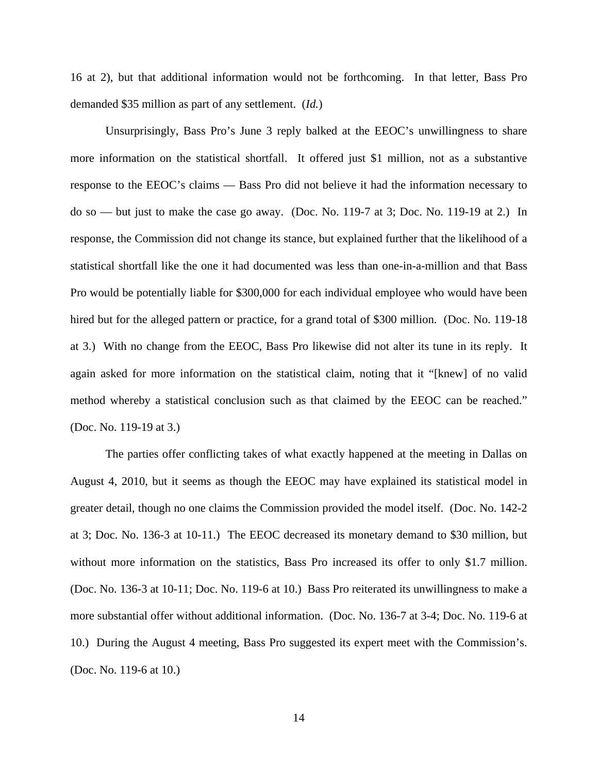16 at 2), but that additional information would not be forthcoming. In that letter, Bass Pro demanded \$35 million as part of any settlement. (*Id.*)

 Unsurprisingly, Bass Pro's June 3 reply balked at the EEOC's unwillingness to share more information on the statistical shortfall. It offered just \$1 million, not as a substantive response to the EEOC's claims — Bass Pro did not believe it had the information necessary to do so — but just to make the case go away. (Doc. No. 119-7 at 3; Doc. No. 119-19 at 2.) In response, the Commission did not change its stance, but explained further that the likelihood of a statistical shortfall like the one it had documented was less than one-in-a-million and that Bass Pro would be potentially liable for \$300,000 for each individual employee who would have been hired but for the alleged pattern or practice, for a grand total of \$300 million. (Doc. No. 119-18) at 3.) With no change from the EEOC, Bass Pro likewise did not alter its tune in its reply. It again asked for more information on the statistical claim, noting that it "[knew] of no valid method whereby a statistical conclusion such as that claimed by the EEOC can be reached." (Doc. No. 119-19 at 3.)

 The parties offer conflicting takes of what exactly happened at the meeting in Dallas on August 4, 2010, but it seems as though the EEOC may have explained its statistical model in greater detail, though no one claims the Commission provided the model itself. (Doc. No. 142-2 at 3; Doc. No. 136-3 at 10-11.) The EEOC decreased its monetary demand to \$30 million, but without more information on the statistics, Bass Pro increased its offer to only \$1.7 million. (Doc. No. 136-3 at 10-11; Doc. No. 119-6 at 10.) Bass Pro reiterated its unwillingness to make a more substantial offer without additional information. (Doc. No. 136-7 at 3-4; Doc. No. 119-6 at 10.) During the August 4 meeting, Bass Pro suggested its expert meet with the Commission's. (Doc. No. 119-6 at 10.)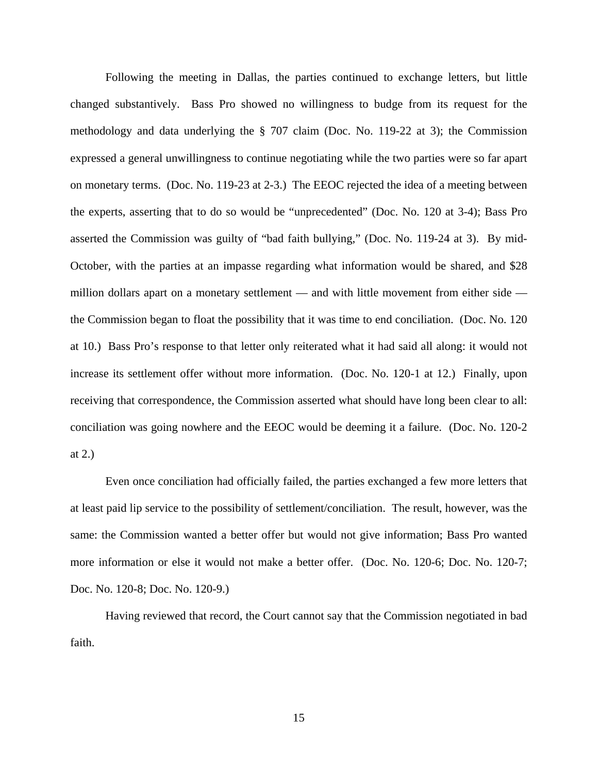Following the meeting in Dallas, the parties continued to exchange letters, but little changed substantively. Bass Pro showed no willingness to budge from its request for the methodology and data underlying the § 707 claim (Doc. No. 119-22 at 3); the Commission expressed a general unwillingness to continue negotiating while the two parties were so far apart on monetary terms. (Doc. No. 119-23 at 2-3.) The EEOC rejected the idea of a meeting between the experts, asserting that to do so would be "unprecedented" (Doc. No. 120 at 3-4); Bass Pro asserted the Commission was guilty of "bad faith bullying," (Doc. No. 119-24 at 3). By mid-October, with the parties at an impasse regarding what information would be shared, and \$28 million dollars apart on a monetary settlement — and with little movement from either side the Commission began to float the possibility that it was time to end conciliation. (Doc. No. 120 at 10.) Bass Pro's response to that letter only reiterated what it had said all along: it would not increase its settlement offer without more information. (Doc. No. 120-1 at 12.) Finally, upon receiving that correspondence, the Commission asserted what should have long been clear to all: conciliation was going nowhere and the EEOC would be deeming it a failure. (Doc. No. 120-2 at 2.)

 Even once conciliation had officially failed, the parties exchanged a few more letters that at least paid lip service to the possibility of settlement/conciliation. The result, however, was the same: the Commission wanted a better offer but would not give information; Bass Pro wanted more information or else it would not make a better offer. (Doc. No. 120-6; Doc. No. 120-7; Doc. No. 120-8; Doc. No. 120-9.)

Having reviewed that record, the Court cannot say that the Commission negotiated in bad faith.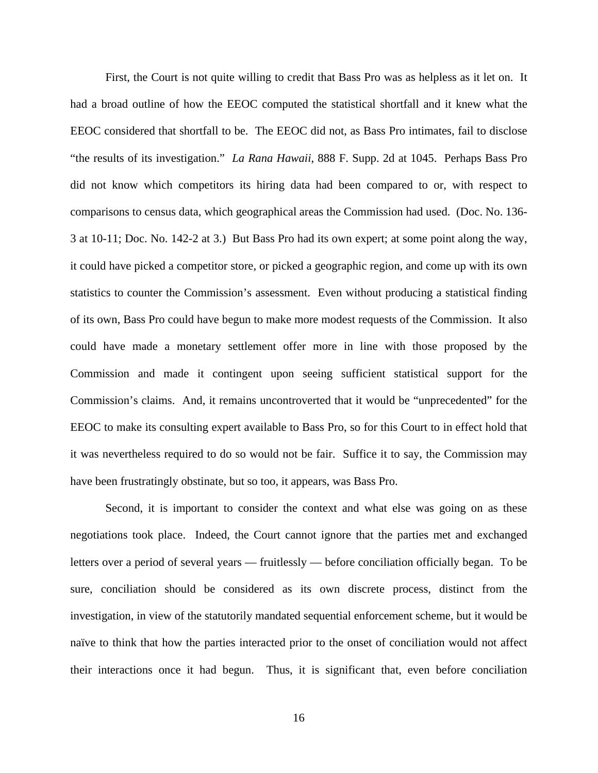First, the Court is not quite willing to credit that Bass Pro was as helpless as it let on. It had a broad outline of how the EEOC computed the statistical shortfall and it knew what the EEOC considered that shortfall to be. The EEOC did not, as Bass Pro intimates, fail to disclose "the results of its investigation." *La Rana Hawaii*, 888 F. Supp. 2d at 1045. Perhaps Bass Pro did not know which competitors its hiring data had been compared to or, with respect to comparisons to census data, which geographical areas the Commission had used. (Doc. No. 136- 3 at 10-11; Doc. No. 142-2 at 3.) But Bass Pro had its own expert; at some point along the way, it could have picked a competitor store, or picked a geographic region, and come up with its own statistics to counter the Commission's assessment. Even without producing a statistical finding of its own, Bass Pro could have begun to make more modest requests of the Commission. It also could have made a monetary settlement offer more in line with those proposed by the Commission and made it contingent upon seeing sufficient statistical support for the Commission's claims. And, it remains uncontroverted that it would be "unprecedented" for the EEOC to make its consulting expert available to Bass Pro, so for this Court to in effect hold that it was nevertheless required to do so would not be fair. Suffice it to say, the Commission may have been frustratingly obstinate, but so too, it appears, was Bass Pro.

Second, it is important to consider the context and what else was going on as these negotiations took place. Indeed, the Court cannot ignore that the parties met and exchanged letters over a period of several years — fruitlessly — before conciliation officially began. To be sure, conciliation should be considered as its own discrete process, distinct from the investigation, in view of the statutorily mandated sequential enforcement scheme, but it would be naïve to think that how the parties interacted prior to the onset of conciliation would not affect their interactions once it had begun. Thus, it is significant that, even before conciliation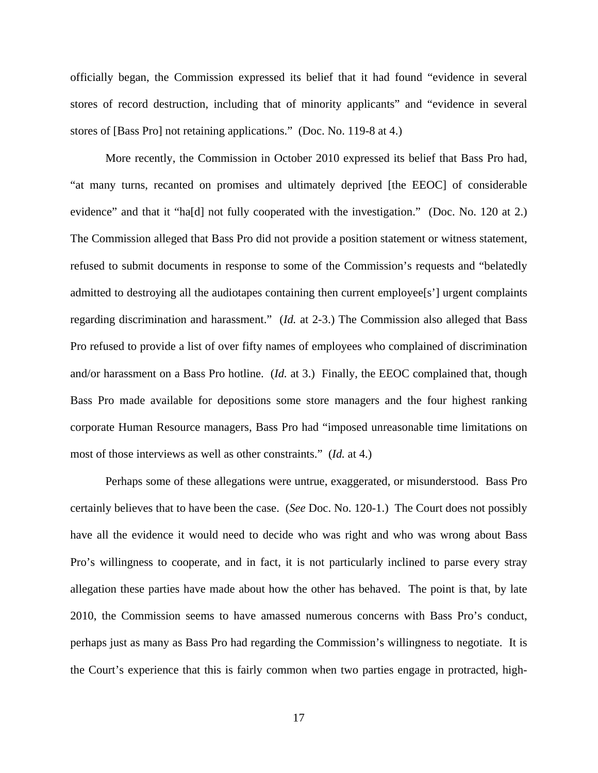officially began, the Commission expressed its belief that it had found "evidence in several stores of record destruction, including that of minority applicants" and "evidence in several stores of [Bass Pro] not retaining applications." (Doc. No. 119-8 at 4.)

More recently, the Commission in October 2010 expressed its belief that Bass Pro had, "at many turns, recanted on promises and ultimately deprived [the EEOC] of considerable evidence" and that it "ha[d] not fully cooperated with the investigation." (Doc. No. 120 at 2.) The Commission alleged that Bass Pro did not provide a position statement or witness statement, refused to submit documents in response to some of the Commission's requests and "belatedly admitted to destroying all the audiotapes containing then current employee[s'] urgent complaints regarding discrimination and harassment." (*Id.* at 2-3.) The Commission also alleged that Bass Pro refused to provide a list of over fifty names of employees who complained of discrimination and/or harassment on a Bass Pro hotline. (*Id.* at 3.) Finally, the EEOC complained that, though Bass Pro made available for depositions some store managers and the four highest ranking corporate Human Resource managers, Bass Pro had "imposed unreasonable time limitations on most of those interviews as well as other constraints." (*Id.* at 4.)

Perhaps some of these allegations were untrue, exaggerated, or misunderstood. Bass Pro certainly believes that to have been the case. (*See* Doc. No. 120-1.) The Court does not possibly have all the evidence it would need to decide who was right and who was wrong about Bass Pro's willingness to cooperate, and in fact, it is not particularly inclined to parse every stray allegation these parties have made about how the other has behaved. The point is that, by late 2010, the Commission seems to have amassed numerous concerns with Bass Pro's conduct, perhaps just as many as Bass Pro had regarding the Commission's willingness to negotiate. It is the Court's experience that this is fairly common when two parties engage in protracted, high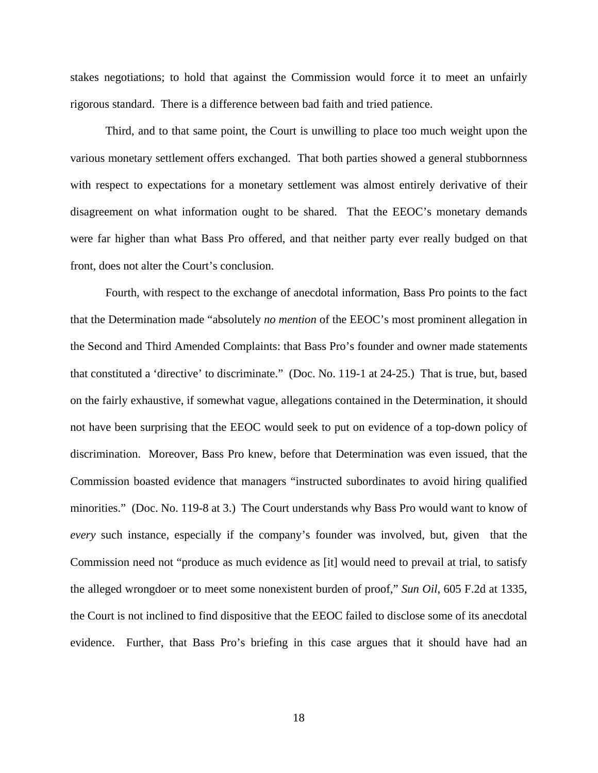stakes negotiations; to hold that against the Commission would force it to meet an unfairly rigorous standard. There is a difference between bad faith and tried patience.

Third, and to that same point, the Court is unwilling to place too much weight upon the various monetary settlement offers exchanged. That both parties showed a general stubbornness with respect to expectations for a monetary settlement was almost entirely derivative of their disagreement on what information ought to be shared. That the EEOC's monetary demands were far higher than what Bass Pro offered, and that neither party ever really budged on that front, does not alter the Court's conclusion.

Fourth, with respect to the exchange of anecdotal information, Bass Pro points to the fact that the Determination made "absolutely *no mention* of the EEOC's most prominent allegation in the Second and Third Amended Complaints: that Bass Pro's founder and owner made statements that constituted a 'directive' to discriminate." (Doc. No. 119-1 at 24-25.) That is true, but, based on the fairly exhaustive, if somewhat vague, allegations contained in the Determination, it should not have been surprising that the EEOC would seek to put on evidence of a top-down policy of discrimination. Moreover, Bass Pro knew, before that Determination was even issued, that the Commission boasted evidence that managers "instructed subordinates to avoid hiring qualified minorities." (Doc. No. 119-8 at 3.) The Court understands why Bass Pro would want to know of *every* such instance, especially if the company's founder was involved, but, given that the Commission need not "produce as much evidence as [it] would need to prevail at trial, to satisfy the alleged wrongdoer or to meet some nonexistent burden of proof," *Sun Oil*, 605 F.2d at 1335, the Court is not inclined to find dispositive that the EEOC failed to disclose some of its anecdotal evidence. Further, that Bass Pro's briefing in this case argues that it should have had an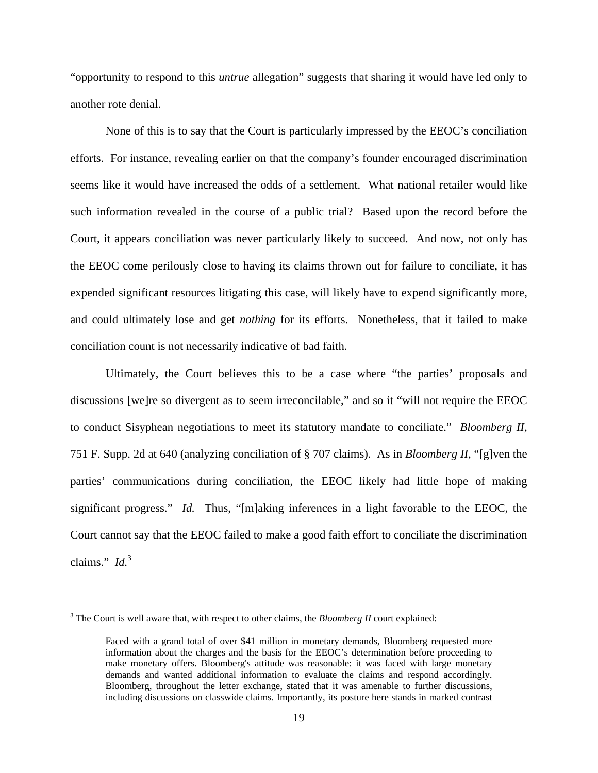"opportunity to respond to this *untrue* allegation" suggests that sharing it would have led only to another rote denial.

None of this is to say that the Court is particularly impressed by the EEOC's conciliation efforts. For instance, revealing earlier on that the company's founder encouraged discrimination seems like it would have increased the odds of a settlement. What national retailer would like such information revealed in the course of a public trial? Based upon the record before the Court, it appears conciliation was never particularly likely to succeed. And now, not only has the EEOC come perilously close to having its claims thrown out for failure to conciliate, it has expended significant resources litigating this case, will likely have to expend significantly more, and could ultimately lose and get *nothing* for its efforts. Nonetheless, that it failed to make conciliation count is not necessarily indicative of bad faith.

Ultimately, the Court believes this to be a case where "the parties' proposals and discussions [we]re so divergent as to seem irreconcilable," and so it "will not require the EEOC to conduct Sisyphean negotiations to meet its statutory mandate to conciliate." *Bloomberg II*, 751 F. Supp. 2d at 640 (analyzing conciliation of § 707 claims). As in *Bloomberg II*, "[g]ven the parties' communications during conciliation, the EEOC likely had little hope of making significant progress." *Id.* Thus, "[m]aking inferences in a light favorable to the EEOC, the Court cannot say that the EEOC failed to make a good faith effort to conciliate the discrimination claims." *Id.*<sup>3</sup>

<sup>&</sup>lt;sup>3</sup> The Court is well aware that, with respect to other claims, the *Bloomberg II* court explained:

Faced with a grand total of over \$41 million in monetary demands, Bloomberg requested more information about the charges and the basis for the EEOC's determination before proceeding to make monetary offers. Bloomberg's attitude was reasonable: it was faced with large monetary demands and wanted additional information to evaluate the claims and respond accordingly. Bloomberg, throughout the letter exchange, stated that it was amenable to further discussions, including discussions on classwide claims. Importantly, its posture here stands in marked contrast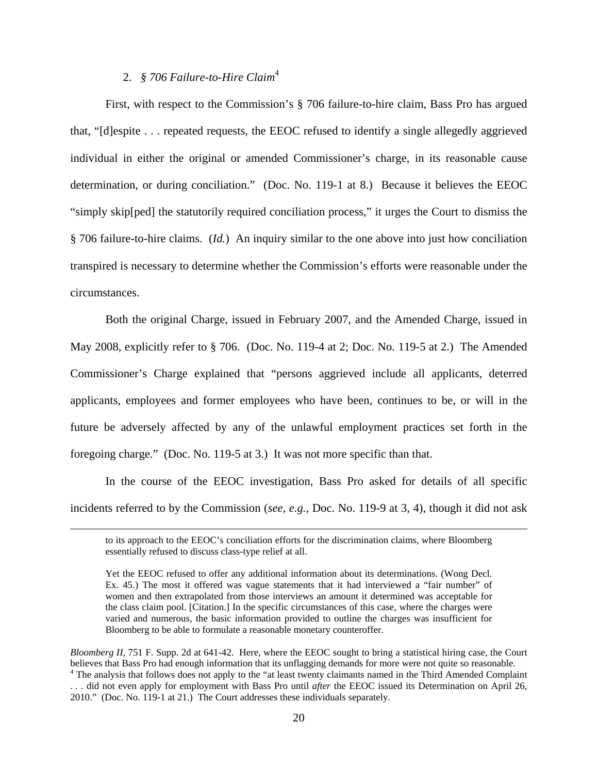# 2. *§ 706 Failure-to-Hire Claim*<sup>4</sup>

First, with respect to the Commission's § 706 failure-to-hire claim, Bass Pro has argued that, "[d]espite . . . repeated requests, the EEOC refused to identify a single allegedly aggrieved individual in either the original or amended Commissioner's charge, in its reasonable cause determination, or during conciliation." (Doc. No. 119-1 at 8.) Because it believes the EEOC "simply skip[ped] the statutorily required conciliation process," it urges the Court to dismiss the § 706 failure-to-hire claims. (*Id.*) An inquiry similar to the one above into just how conciliation transpired is necessary to determine whether the Commission's efforts were reasonable under the circumstances.

Both the original Charge, issued in February 2007, and the Amended Charge, issued in May 2008, explicitly refer to § 706. (Doc. No. 119-4 at 2; Doc. No. 119-5 at 2.) The Amended Commissioner's Charge explained that "persons aggrieved include all applicants, deterred applicants, employees and former employees who have been, continues to be, or will in the future be adversely affected by any of the unlawful employment practices set forth in the foregoing charge." (Doc. No. 119-5 at 3.) It was not more specific than that.

In the course of the EEOC investigation, Bass Pro asked for details of all specific incidents referred to by the Commission (*see, e.g.*, Doc. No. 119-9 at 3, 4), though it did not ask

<sup>&</sup>lt;u> 1989 - Johann Stein, marwolaethau a gweledydd a ganlad y ganlad y ganlad y ganlad y ganlad y ganlad y ganlad</u> to its approach to the EEOC's conciliation efforts for the discrimination claims, where Bloomberg essentially refused to discuss class-type relief at all.

Yet the EEOC refused to offer any additional information about its determinations. (Wong Decl. Ex. 45.) The most it offered was vague statements that it had interviewed a "fair number" of women and then extrapolated from those interviews an amount it determined was acceptable for the class claim pool. [Citation.] In the specific circumstances of this case, where the charges were varied and numerous, the basic information provided to outline the charges was insufficient for Bloomberg to be able to formulate a reasonable monetary counteroffer.

*Bloomberg II*, 751 F. Supp. 2d at 641-42. Here, where the EEOC sought to bring a statistical hiring case, the Court believes that Bass Pro had enough information that its unflagging demands for more were not quite so reasonable. <sup>4</sup> The analysis that follows does not apply to the "at least twenty claimants named in the Third Amended Complaint

<sup>. . .</sup> did not even apply for employment with Bass Pro until *after* the EEOC issued its Determination on April 26, 2010." (Doc. No. 119-1 at 21.) The Court addresses these individuals separately.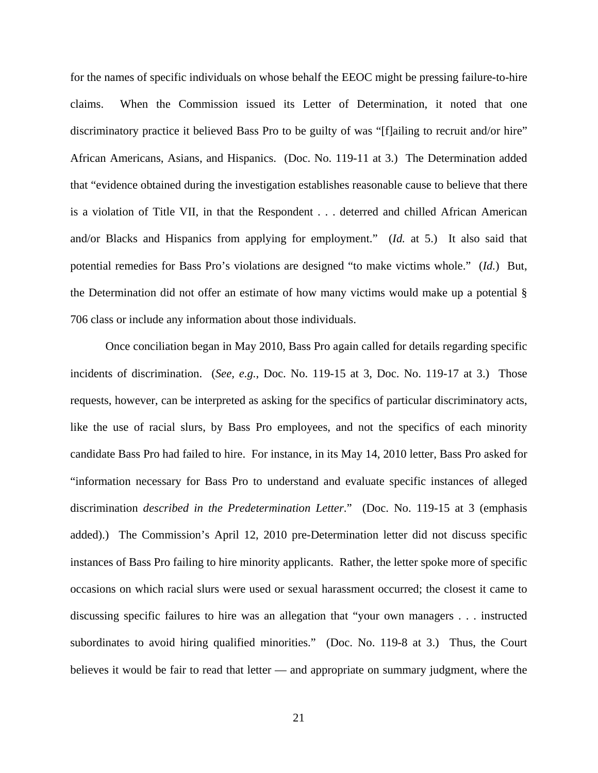for the names of specific individuals on whose behalf the EEOC might be pressing failure-to-hire claims. When the Commission issued its Letter of Determination, it noted that one discriminatory practice it believed Bass Pro to be guilty of was "[f]ailing to recruit and/or hire" African Americans, Asians, and Hispanics. (Doc. No. 119-11 at 3.) The Determination added that "evidence obtained during the investigation establishes reasonable cause to believe that there is a violation of Title VII, in that the Respondent . . . deterred and chilled African American and/or Blacks and Hispanics from applying for employment." (*Id.* at 5.) It also said that potential remedies for Bass Pro's violations are designed "to make victims whole." (*Id.*) But, the Determination did not offer an estimate of how many victims would make up a potential § 706 class or include any information about those individuals.

Once conciliation began in May 2010, Bass Pro again called for details regarding specific incidents of discrimination. (*See, e.g.*, Doc. No. 119-15 at 3, Doc. No. 119-17 at 3.) Those requests, however, can be interpreted as asking for the specifics of particular discriminatory acts, like the use of racial slurs, by Bass Pro employees, and not the specifics of each minority candidate Bass Pro had failed to hire. For instance, in its May 14, 2010 letter, Bass Pro asked for "information necessary for Bass Pro to understand and evaluate specific instances of alleged discrimination *described in the Predetermination Letter*." (Doc. No. 119-15 at 3 (emphasis added).) The Commission's April 12, 2010 pre-Determination letter did not discuss specific instances of Bass Pro failing to hire minority applicants. Rather, the letter spoke more of specific occasions on which racial slurs were used or sexual harassment occurred; the closest it came to discussing specific failures to hire was an allegation that "your own managers . . . instructed subordinates to avoid hiring qualified minorities." (Doc. No. 119-8 at 3.) Thus, the Court believes it would be fair to read that letter — and appropriate on summary judgment, where the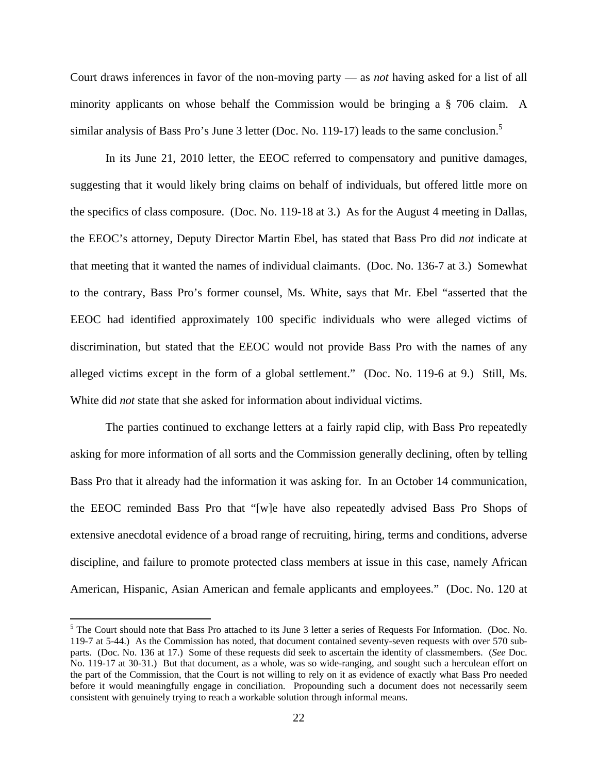Court draws inferences in favor of the non-moving party — as *not* having asked for a list of all minority applicants on whose behalf the Commission would be bringing a § 706 claim. A similar analysis of Bass Pro's June 3 letter (Doc. No. 119-17) leads to the same conclusion.<sup>5</sup>

In its June 21, 2010 letter, the EEOC referred to compensatory and punitive damages, suggesting that it would likely bring claims on behalf of individuals, but offered little more on the specifics of class composure. (Doc. No. 119-18 at 3.) As for the August 4 meeting in Dallas, the EEOC's attorney, Deputy Director Martin Ebel, has stated that Bass Pro did *not* indicate at that meeting that it wanted the names of individual claimants. (Doc. No. 136-7 at 3.) Somewhat to the contrary, Bass Pro's former counsel, Ms. White, says that Mr. Ebel "asserted that the EEOC had identified approximately 100 specific individuals who were alleged victims of discrimination, but stated that the EEOC would not provide Bass Pro with the names of any alleged victims except in the form of a global settlement." (Doc. No. 119-6 at 9.) Still, Ms. White did *not* state that she asked for information about individual victims.

The parties continued to exchange letters at a fairly rapid clip, with Bass Pro repeatedly asking for more information of all sorts and the Commission generally declining, often by telling Bass Pro that it already had the information it was asking for. In an October 14 communication, the EEOC reminded Bass Pro that "[w]e have also repeatedly advised Bass Pro Shops of extensive anecdotal evidence of a broad range of recruiting, hiring, terms and conditions, adverse discipline, and failure to promote protected class members at issue in this case, namely African American, Hispanic, Asian American and female applicants and employees." (Doc. No. 120 at

 $<sup>5</sup>$  The Court should note that Bass Pro attached to its June 3 letter a series of Requests For Information. (Doc. No.</sup> 119-7 at 5-44.) As the Commission has noted, that document contained seventy-seven requests with over 570 subparts. (Doc. No. 136 at 17.) Some of these requests did seek to ascertain the identity of classmembers. (*See* Doc. No. 119-17 at 30-31.) But that document, as a whole, was so wide-ranging, and sought such a herculean effort on the part of the Commission, that the Court is not willing to rely on it as evidence of exactly what Bass Pro needed before it would meaningfully engage in conciliation. Propounding such a document does not necessarily seem consistent with genuinely trying to reach a workable solution through informal means.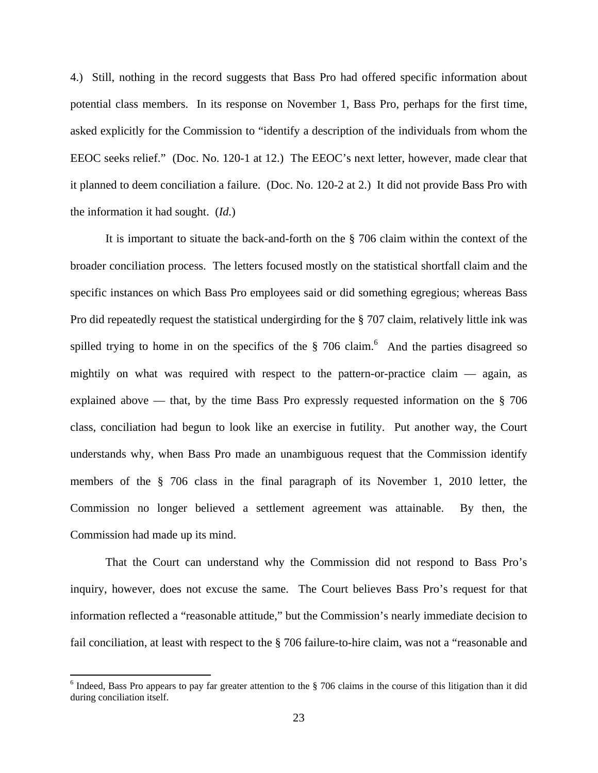4.) Still, nothing in the record suggests that Bass Pro had offered specific information about potential class members. In its response on November 1, Bass Pro, perhaps for the first time, asked explicitly for the Commission to "identify a description of the individuals from whom the EEOC seeks relief." (Doc. No. 120-1 at 12.) The EEOC's next letter, however, made clear that it planned to deem conciliation a failure. (Doc. No. 120-2 at 2.) It did not provide Bass Pro with the information it had sought. (*Id.*)

It is important to situate the back-and-forth on the § 706 claim within the context of the broader conciliation process. The letters focused mostly on the statistical shortfall claim and the specific instances on which Bass Pro employees said or did something egregious; whereas Bass Pro did repeatedly request the statistical undergirding for the § 707 claim, relatively little ink was spilled trying to home in on the specifics of the  $\S$  706 claim.<sup>6</sup> And the parties disagreed so mightily on what was required with respect to the pattern-or-practice claim — again, as explained above — that, by the time Bass Pro expressly requested information on the § 706 class, conciliation had begun to look like an exercise in futility. Put another way, the Court understands why, when Bass Pro made an unambiguous request that the Commission identify members of the § 706 class in the final paragraph of its November 1, 2010 letter, the Commission no longer believed a settlement agreement was attainable. By then, the Commission had made up its mind.

That the Court can understand why the Commission did not respond to Bass Pro's inquiry, however, does not excuse the same. The Court believes Bass Pro's request for that information reflected a "reasonable attitude," but the Commission's nearly immediate decision to fail conciliation, at least with respect to the § 706 failure-to-hire claim, was not a "reasonable and

 $6$  Indeed, Bass Pro appears to pay far greater attention to the  $\S$  706 claims in the course of this litigation than it did during conciliation itself.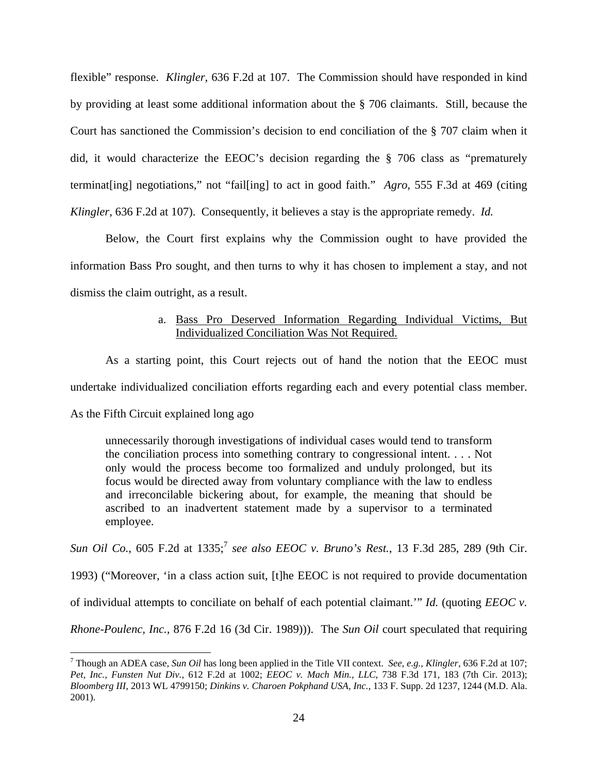flexible" response. *Klingler*, 636 F.2d at 107. The Commission should have responded in kind by providing at least some additional information about the § 706 claimants. Still, because the Court has sanctioned the Commission's decision to end conciliation of the § 707 claim when it did, it would characterize the EEOC's decision regarding the § 706 class as "prematurely terminat[ing] negotiations," not "fail[ing] to act in good faith." *Agro*, 555 F.3d at 469 (citing *Klingler*, 636 F.2d at 107). Consequently, it believes a stay is the appropriate remedy. *Id.*

Below, the Court first explains why the Commission ought to have provided the information Bass Pro sought, and then turns to why it has chosen to implement a stay, and not dismiss the claim outright, as a result.

# a. Bass Pro Deserved Information Regarding Individual Victims, But Individualized Conciliation Was Not Required.

As a starting point, this Court rejects out of hand the notion that the EEOC must undertake individualized conciliation efforts regarding each and every potential class member. As the Fifth Circuit explained long ago

unnecessarily thorough investigations of individual cases would tend to transform the conciliation process into something contrary to congressional intent. . . . Not only would the process become too formalized and unduly prolonged, but its focus would be directed away from voluntary compliance with the law to endless and irreconcilable bickering about, for example, the meaning that should be ascribed to an inadvertent statement made by a supervisor to a terminated employee.

Sun Oil Co., 605 F.2d at 1335;<sup>7</sup> see also EEOC v. Bruno's Rest., 13 F.3d 285, 289 (9th Cir.

1993) ("Moreover, 'in a class action suit, [t]he EEOC is not required to provide documentation

of individual attempts to conciliate on behalf of each potential claimant.'" *Id.* (quoting *EEOC v.* 

*Rhone-Poulenc, Inc.,* 876 F.2d 16 (3d Cir. 1989))). The *Sun Oil* court speculated that requiring

<sup>7</sup> Though an ADEA case, *Sun Oil* has long been applied in the Title VII context. *See, e.g.*, *Klingler*, 636 F.2d at 107; *Pet, Inc., Funsten Nut Div.*, 612 F.2d at 1002; *EEOC v. Mach Min., LLC*, 738 F.3d 171, 183 (7th Cir. 2013); *Bloomberg III*, 2013 WL 4799150; *Dinkins v. Charoen Pokphand USA, Inc.*, 133 F. Supp. 2d 1237, 1244 (M.D. Ala. 2001).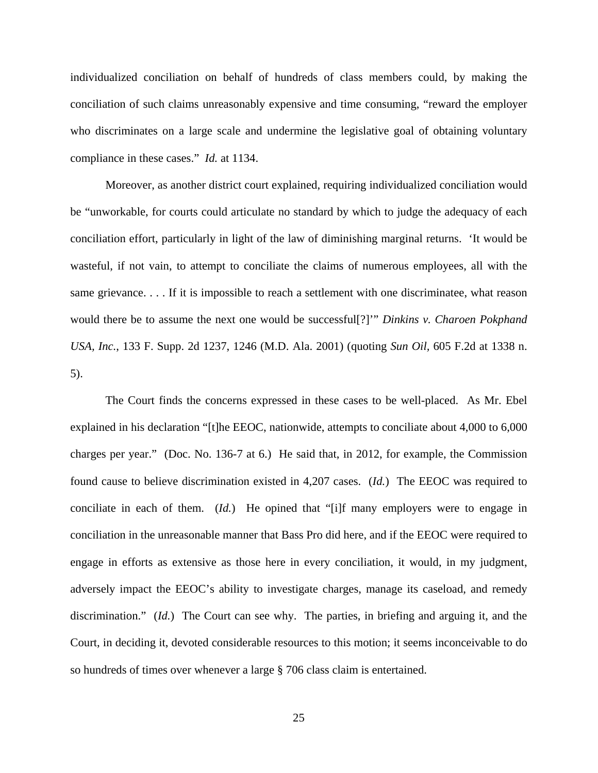individualized conciliation on behalf of hundreds of class members could, by making the conciliation of such claims unreasonably expensive and time consuming, "reward the employer who discriminates on a large scale and undermine the legislative goal of obtaining voluntary compliance in these cases." *Id.* at 1134.

Moreover, as another district court explained, requiring individualized conciliation would be "unworkable, for courts could articulate no standard by which to judge the adequacy of each conciliation effort, particularly in light of the law of diminishing marginal returns. 'It would be wasteful, if not vain, to attempt to conciliate the claims of numerous employees, all with the same grievance. . . . If it is impossible to reach a settlement with one discriminatee, what reason would there be to assume the next one would be successful[?]'" *Dinkins v. Charoen Pokphand USA, Inc.*, 133 F. Supp. 2d 1237, 1246 (M.D. Ala. 2001) (quoting *Sun Oil,* 605 F.2d at 1338 n. 5).

The Court finds the concerns expressed in these cases to be well-placed. As Mr. Ebel explained in his declaration "[t]he EEOC, nationwide, attempts to conciliate about 4,000 to 6,000 charges per year." (Doc. No. 136-7 at 6.) He said that, in 2012, for example, the Commission found cause to believe discrimination existed in 4,207 cases. (*Id.*) The EEOC was required to conciliate in each of them. (*Id.*) He opined that "[i]f many employers were to engage in conciliation in the unreasonable manner that Bass Pro did here, and if the EEOC were required to engage in efforts as extensive as those here in every conciliation, it would, in my judgment, adversely impact the EEOC's ability to investigate charges, manage its caseload, and remedy discrimination." (*Id.*) The Court can see why. The parties, in briefing and arguing it, and the Court, in deciding it, devoted considerable resources to this motion; it seems inconceivable to do so hundreds of times over whenever a large § 706 class claim is entertained.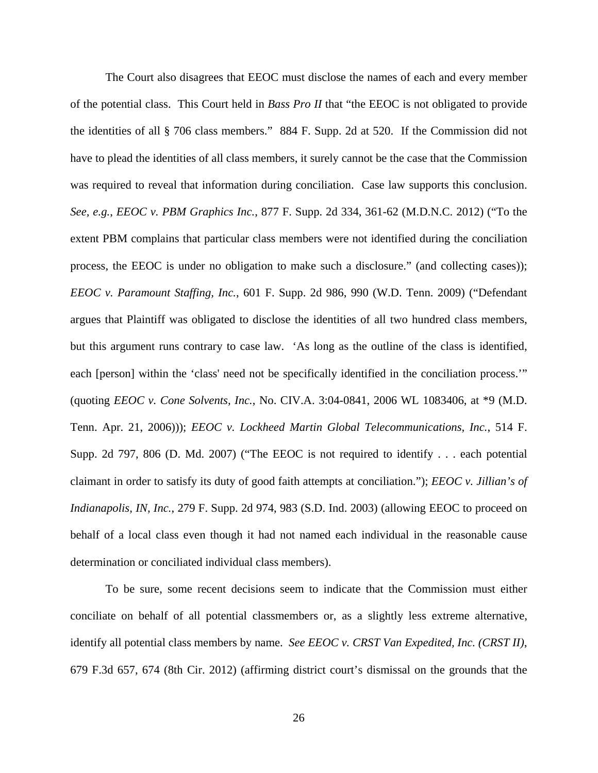The Court also disagrees that EEOC must disclose the names of each and every member of the potential class. This Court held in *Bass Pro II* that "the EEOC is not obligated to provide the identities of all § 706 class members." 884 F. Supp. 2d at 520. If the Commission did not have to plead the identities of all class members, it surely cannot be the case that the Commission was required to reveal that information during conciliation. Case law supports this conclusion. *See, e.g.*, *EEOC v. PBM Graphics Inc.*, 877 F. Supp. 2d 334, 361-62 (M.D.N.C. 2012) ("To the extent PBM complains that particular class members were not identified during the conciliation process, the EEOC is under no obligation to make such a disclosure." (and collecting cases)); *EEOC v. Paramount Staffing, Inc.*, 601 F. Supp. 2d 986, 990 (W.D. Tenn. 2009) ("Defendant argues that Plaintiff was obligated to disclose the identities of all two hundred class members, but this argument runs contrary to case law. 'As long as the outline of the class is identified, each [person] within the 'class' need not be specifically identified in the conciliation process.'" (quoting *EEOC v. Cone Solvents, Inc.*, No. CIV.A. 3:04-0841, 2006 WL 1083406, at \*9 (M.D. Tenn. Apr. 21, 2006))); *EEOC v. Lockheed Martin Global Telecommunications, Inc.*, 514 F. Supp. 2d 797, 806 (D. Md. 2007) ("The EEOC is not required to identify . . . each potential claimant in order to satisfy its duty of good faith attempts at conciliation."); *EEOC v. Jillian's of Indianapolis, IN, Inc.*, 279 F. Supp. 2d 974, 983 (S.D. Ind. 2003) (allowing EEOC to proceed on behalf of a local class even though it had not named each individual in the reasonable cause determination or conciliated individual class members).

To be sure, some recent decisions seem to indicate that the Commission must either conciliate on behalf of all potential classmembers or, as a slightly less extreme alternative, identify all potential class members by name. *See EEOC v. CRST Van Expedited, Inc. (CRST II)*, 679 F.3d 657, 674 (8th Cir. 2012) (affirming district court's dismissal on the grounds that the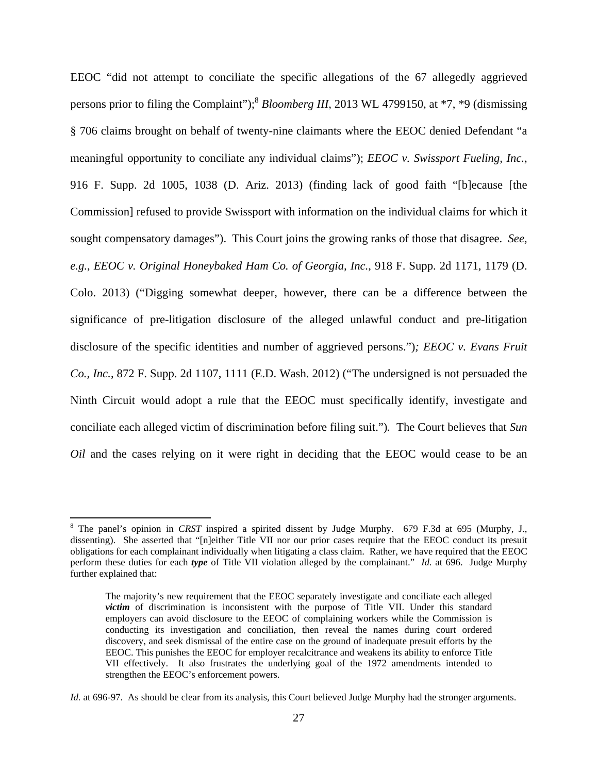EEOC "did not attempt to conciliate the specific allegations of the 67 allegedly aggrieved persons prior to filing the Complaint");<sup>8</sup> *Bloomberg III*, 2013 WL 4799150, at \*7, \*9 (dismissing § 706 claims brought on behalf of twenty-nine claimants where the EEOC denied Defendant "a meaningful opportunity to conciliate any individual claims"); *EEOC v. Swissport Fueling, Inc.*, 916 F. Supp. 2d 1005, 1038 (D. Ariz. 2013) (finding lack of good faith "[b]ecause [the Commission] refused to provide Swissport with information on the individual claims for which it sought compensatory damages"). This Court joins the growing ranks of those that disagree. *See, e.g.*, *EEOC v. Original Honeybaked Ham Co. of Georgia, Inc.*, 918 F. Supp. 2d 1171, 1179 (D. Colo. 2013) ("Digging somewhat deeper, however, there can be a difference between the significance of pre-litigation disclosure of the alleged unlawful conduct and pre-litigation disclosure of the specific identities and number of aggrieved persons.")*; EEOC v. Evans Fruit Co., Inc.*, 872 F. Supp. 2d 1107, 1111 (E.D. Wash. 2012) ("The undersigned is not persuaded the Ninth Circuit would adopt a rule that the EEOC must specifically identify, investigate and conciliate each alleged victim of discrimination before filing suit.")*.* The Court believes that *Sun Oil* and the cases relying on it were right in deciding that the EEOC would cease to be an

<sup>&</sup>lt;sup>8</sup> The panel's opinion in *CRST* inspired a spirited dissent by Judge Murphy. 679 F.3d at 695 (Murphy, J., dissenting). She asserted that "[n]either Title VII nor our prior cases require that the EEOC conduct its presuit obligations for each complainant individually when litigating a class claim. Rather, we have required that the EEOC perform these duties for each *type* of Title VII violation alleged by the complainant." *Id.* at 696. Judge Murphy further explained that:

The majority's new requirement that the EEOC separately investigate and conciliate each alleged *victim* of discrimination is inconsistent with the purpose of Title VII. Under this standard employers can avoid disclosure to the EEOC of complaining workers while the Commission is conducting its investigation and conciliation, then reveal the names during court ordered discovery, and seek dismissal of the entire case on the ground of inadequate presuit efforts by the EEOC. This punishes the EEOC for employer recalcitrance and weakens its ability to enforce Title VII effectively. It also frustrates the underlying goal of the 1972 amendments intended to strengthen the EEOC's enforcement powers.

*Id.* at 696-97. As should be clear from its analysis, this Court believed Judge Murphy had the stronger arguments.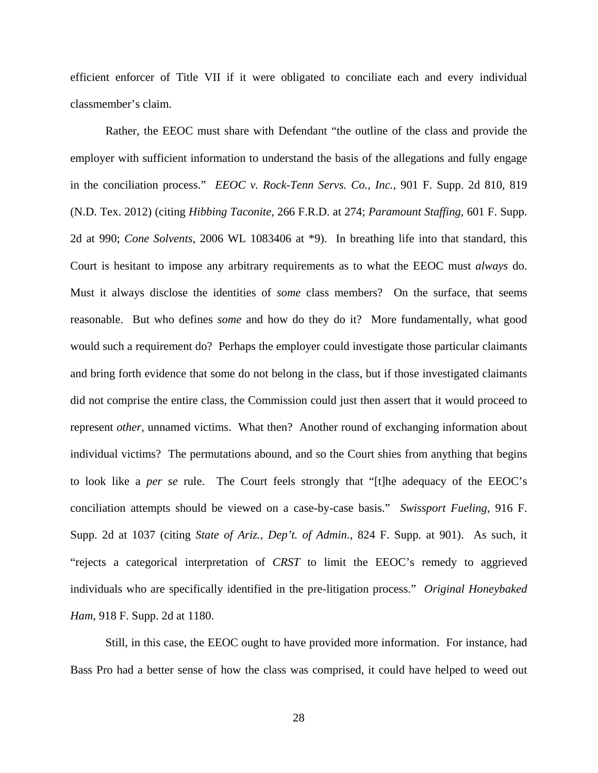efficient enforcer of Title VII if it were obligated to conciliate each and every individual classmember's claim.

Rather, the EEOC must share with Defendant "the outline of the class and provide the employer with sufficient information to understand the basis of the allegations and fully engage in the conciliation process." *EEOC v. Rock-Tenn Servs. Co., Inc.*, 901 F. Supp. 2d 810, 819 (N.D. Tex. 2012) (citing *Hibbing Taconite,* 266 F.R.D. at 274; *Paramount Staffing*, 601 F. Supp. 2d at 990; *Cone Solvents*, 2006 WL 1083406 at \*9). In breathing life into that standard, this Court is hesitant to impose any arbitrary requirements as to what the EEOC must *always* do. Must it always disclose the identities of *some* class members? On the surface, that seems reasonable. But who defines *some* and how do they do it? More fundamentally, what good would such a requirement do? Perhaps the employer could investigate those particular claimants and bring forth evidence that some do not belong in the class, but if those investigated claimants did not comprise the entire class, the Commission could just then assert that it would proceed to represent *other*, unnamed victims. What then? Another round of exchanging information about individual victims? The permutations abound, and so the Court shies from anything that begins to look like a *per se* rule. The Court feels strongly that "[t]he adequacy of the EEOC's conciliation attempts should be viewed on a case-by-case basis." *Swissport Fueling*, 916 F. Supp. 2d at 1037 (citing *State of Ariz., Dep't. of Admin.*, 824 F. Supp. at 901). As such, it "rejects a categorical interpretation of *CRST* to limit the EEOC's remedy to aggrieved individuals who are specifically identified in the pre-litigation process." *Original Honeybaked Ham*, 918 F. Supp. 2d at 1180.

Still, in this case, the EEOC ought to have provided more information. For instance, had Bass Pro had a better sense of how the class was comprised, it could have helped to weed out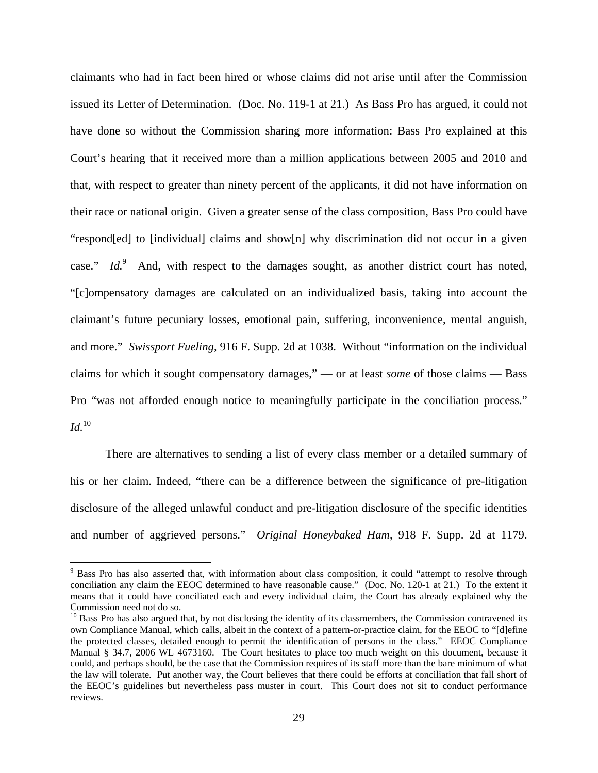claimants who had in fact been hired or whose claims did not arise until after the Commission issued its Letter of Determination. (Doc. No. 119-1 at 21.) As Bass Pro has argued, it could not have done so without the Commission sharing more information: Bass Pro explained at this Court's hearing that it received more than a million applications between 2005 and 2010 and that, with respect to greater than ninety percent of the applicants, it did not have information on their race or national origin. Given a greater sense of the class composition, Bass Pro could have "respond[ed] to [individual] claims and show[n] why discrimination did not occur in a given case."  $Id<sup>9</sup>$  And, with respect to the damages sought, as another district court has noted, "[c]ompensatory damages are calculated on an individualized basis, taking into account the claimant's future pecuniary losses, emotional pain, suffering, inconvenience, mental anguish, and more." *Swissport Fueling*, 916 F. Supp. 2d at 1038. Without "information on the individual claims for which it sought compensatory damages," — or at least *some* of those claims — Bass Pro "was not afforded enough notice to meaningfully participate in the conciliation process."  $Id.$ <sup>10</sup>

There are alternatives to sending a list of every class member or a detailed summary of his or her claim. Indeed, "there can be a difference between the significance of pre-litigation disclosure of the alleged unlawful conduct and pre-litigation disclosure of the specific identities and number of aggrieved persons." *Original Honeybaked Ham*, 918 F. Supp. 2d at 1179.

<sup>&</sup>lt;sup>9</sup> Bass Pro has also asserted that, with information about class composition, it could "attempt to resolve through conciliation any claim the EEOC determined to have reasonable cause." (Doc. No. 120-1 at 21.) To the extent it means that it could have conciliated each and every individual claim, the Court has already explained why the Commission need not do so.

 $10$  Bass Pro has also argued that, by not disclosing the identity of its classmembers, the Commission contravened its own Compliance Manual, which calls, albeit in the context of a pattern-or-practice claim, for the EEOC to "[d]efine the protected classes, detailed enough to permit the identification of persons in the class." EEOC Compliance Manual § 34.7, 2006 WL 4673160. The Court hesitates to place too much weight on this document, because it could, and perhaps should, be the case that the Commission requires of its staff more than the bare minimum of what the law will tolerate. Put another way, the Court believes that there could be efforts at conciliation that fall short of the EEOC's guidelines but nevertheless pass muster in court. This Court does not sit to conduct performance reviews.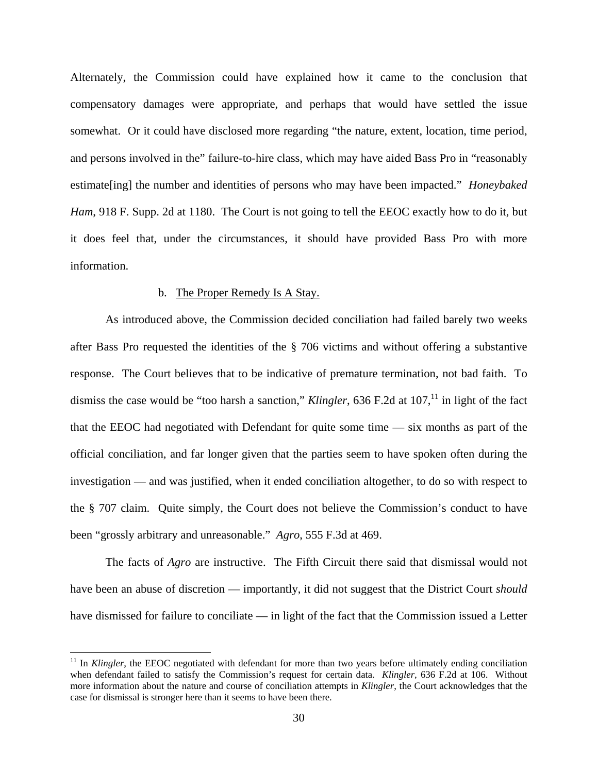Alternately, the Commission could have explained how it came to the conclusion that compensatory damages were appropriate, and perhaps that would have settled the issue somewhat. Or it could have disclosed more regarding "the nature, extent, location, time period, and persons involved in the" failure-to-hire class, which may have aided Bass Pro in "reasonably estimate[ing] the number and identities of persons who may have been impacted." *Honeybaked Ham*, 918 F. Supp. 2d at 1180. The Court is not going to tell the EEOC exactly how to do it, but it does feel that, under the circumstances, it should have provided Bass Pro with more information.

#### b. The Proper Remedy Is A Stay.

As introduced above, the Commission decided conciliation had failed barely two weeks after Bass Pro requested the identities of the § 706 victims and without offering a substantive response. The Court believes that to be indicative of premature termination, not bad faith. To dismiss the case would be "too harsh a sanction," *Klingler*, 636 F.2d at 107,<sup>11</sup> in light of the fact that the EEOC had negotiated with Defendant for quite some time — six months as part of the official conciliation, and far longer given that the parties seem to have spoken often during the investigation — and was justified, when it ended conciliation altogether, to do so with respect to the § 707 claim. Quite simply, the Court does not believe the Commission's conduct to have been "grossly arbitrary and unreasonable." *Agro*, 555 F.3d at 469.

 The facts of *Agro* are instructive. The Fifth Circuit there said that dismissal would not have been an abuse of discretion — importantly, it did not suggest that the District Court *should*  have dismissed for failure to conciliate — in light of the fact that the Commission issued a Letter

<sup>&</sup>lt;sup>11</sup> In *Klingler*, the EEOC negotiated with defendant for more than two years before ultimately ending conciliation when defendant failed to satisfy the Commission's request for certain data. *Klingler*, 636 F.2d at 106. Without more information about the nature and course of conciliation attempts in *Klingler*, the Court acknowledges that the case for dismissal is stronger here than it seems to have been there.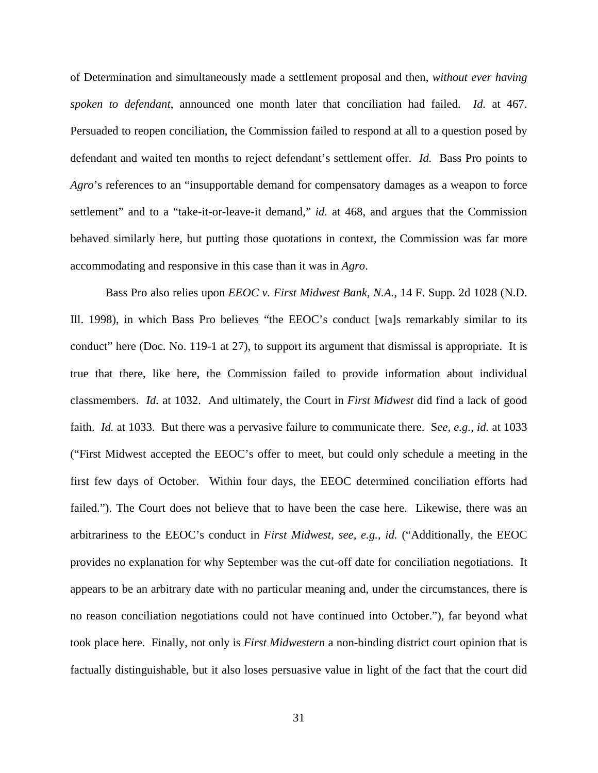of Determination and simultaneously made a settlement proposal and then, *without ever having spoken to defendant*, announced one month later that conciliation had failed. *Id.* at 467. Persuaded to reopen conciliation, the Commission failed to respond at all to a question posed by defendant and waited ten months to reject defendant's settlement offer. *Id.* Bass Pro points to *Agro*'s references to an "insupportable demand for compensatory damages as a weapon to force settlement" and to a "take-it-or-leave-it demand," *id.* at 468, and argues that the Commission behaved similarly here, but putting those quotations in context, the Commission was far more accommodating and responsive in this case than it was in *Agro*.

 Bass Pro also relies upon *EEOC v. First Midwest Bank, N.A.*, 14 F. Supp. 2d 1028 (N.D. Ill. 1998), in which Bass Pro believes "the EEOC's conduct [wa]s remarkably similar to its conduct" here (Doc. No. 119-1 at 27), to support its argument that dismissal is appropriate. It is true that there, like here, the Commission failed to provide information about individual classmembers. *Id.* at 1032. And ultimately, the Court in *First Midwest* did find a lack of good faith. *Id.* at 1033. But there was a pervasive failure to communicate there. S*ee, e.g.*, *id.* at 1033 ("First Midwest accepted the EEOC's offer to meet, but could only schedule a meeting in the first few days of October. Within four days, the EEOC determined conciliation efforts had failed."). The Court does not believe that to have been the case here. Likewise, there was an arbitrariness to the EEOC's conduct in *First Midwest*, *see, e.g.*, *id.* ("Additionally, the EEOC provides no explanation for why September was the cut-off date for conciliation negotiations. It appears to be an arbitrary date with no particular meaning and, under the circumstances, there is no reason conciliation negotiations could not have continued into October."), far beyond what took place here. Finally, not only is *First Midwestern* a non-binding district court opinion that is factually distinguishable, but it also loses persuasive value in light of the fact that the court did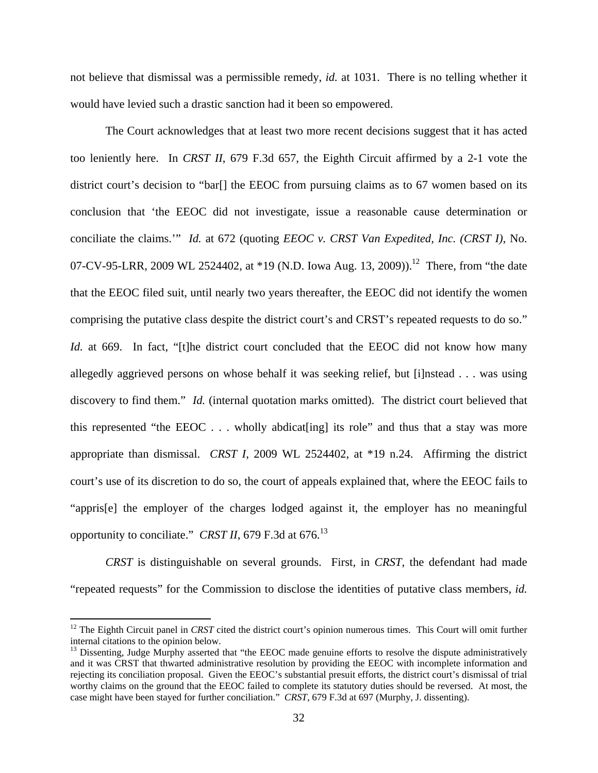not believe that dismissal was a permissible remedy, *id.* at 1031. There is no telling whether it would have levied such a drastic sanction had it been so empowered.

The Court acknowledges that at least two more recent decisions suggest that it has acted too leniently here. In *CRST II*, 679 F.3d 657, the Eighth Circuit affirmed by a 2-1 vote the district court's decision to "bar[] the EEOC from pursuing claims as to 67 women based on its conclusion that 'the EEOC did not investigate, issue a reasonable cause determination or conciliate the claims.'" *Id.* at 672 (quoting *EEOC v. CRST Van Expedited, Inc. (CRST I)*, No. 07-CV-95-LRR, 2009 WL 2524402, at  $*19$  (N.D. Iowa Aug. 13, 2009)).<sup>12</sup> There, from "the date that the EEOC filed suit, until nearly two years thereafter, the EEOC did not identify the women comprising the putative class despite the district court's and CRST's repeated requests to do so." *Id.* at 669. In fact, "[t]he district court concluded that the EEOC did not know how many allegedly aggrieved persons on whose behalf it was seeking relief, but [i]nstead . . . was using discovery to find them." *Id.* (internal quotation marks omitted). The district court believed that this represented "the EEOC . . . wholly abdicat[ing] its role" and thus that a stay was more appropriate than dismissal. *CRST I*, 2009 WL 2524402, at \*19 n.24. Affirming the district court's use of its discretion to do so, the court of appeals explained that, where the EEOC fails to "appris[e] the employer of the charges lodged against it, the employer has no meaningful opportunity to conciliate." *CRST II*, 679 F.3d at 676.<sup>13</sup>

*CRST* is distinguishable on several grounds. First, in *CRST*, the defendant had made "repeated requests" for the Commission to disclose the identities of putative class members, *id.*

<sup>&</sup>lt;sup>12</sup> The Eighth Circuit panel in *CRST* cited the district court's opinion numerous times. This Court will omit further internal citations to the opinion below.

<sup>&</sup>lt;sup>13</sup> Dissenting, Judge Murphy asserted that "the EEOC made genuine efforts to resolve the dispute administratively and it was CRST that thwarted administrative resolution by providing the EEOC with incomplete information and rejecting its conciliation proposal. Given the EEOC's substantial presuit efforts, the district court's dismissal of trial worthy claims on the ground that the EEOC failed to complete its statutory duties should be reversed. At most, the case might have been stayed for further conciliation." *CRST*, 679 F.3d at 697 (Murphy, J. dissenting).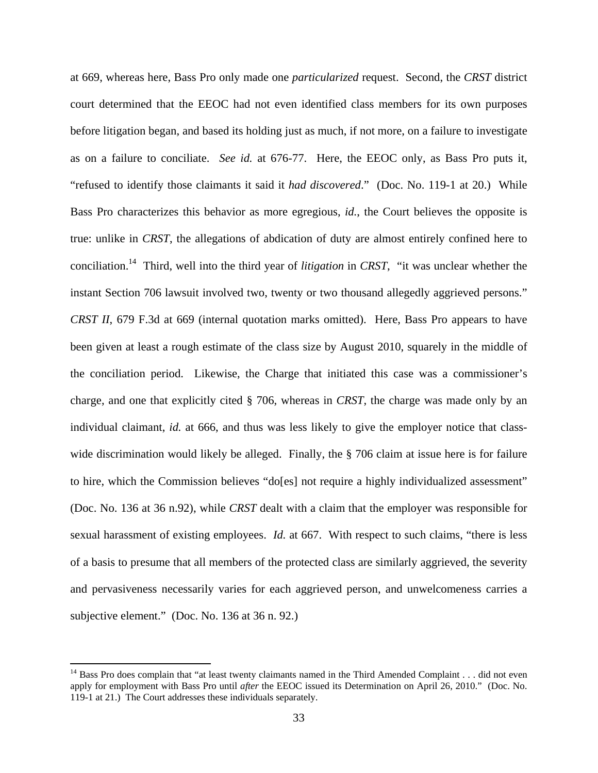at 669, whereas here, Bass Pro only made one *particularized* request.Second, the *CRST* district court determined that the EEOC had not even identified class members for its own purposes before litigation began, and based its holding just as much, if not more, on a failure to investigate as on a failure to conciliate. *See id.* at 676-77. Here, the EEOC only, as Bass Pro puts it, "refused to identify those claimants it said it *had discovered*." (Doc. No. 119-1 at 20.) While Bass Pro characterizes this behavior as more egregious, *id.*, the Court believes the opposite is true: unlike in *CRST*, the allegations of abdication of duty are almost entirely confined here to conciliation.14 Third, well into the third year of *litigation* in *CRST*, "it was unclear whether the instant Section 706 lawsuit involved two, twenty or two thousand allegedly aggrieved persons." *CRST II*, 679 F.3d at 669 (internal quotation marks omitted). Here, Bass Pro appears to have been given at least a rough estimate of the class size by August 2010, squarely in the middle of the conciliation period. Likewise, the Charge that initiated this case was a commissioner's charge, and one that explicitly cited § 706, whereas in *CRST*, the charge was made only by an individual claimant, *id.* at 666, and thus was less likely to give the employer notice that classwide discrimination would likely be alleged. Finally, the § 706 claim at issue here is for failure to hire, which the Commission believes "do[es] not require a highly individualized assessment" (Doc. No. 136 at 36 n.92), while *CRST* dealt with a claim that the employer was responsible for sexual harassment of existing employees. *Id.* at 667. With respect to such claims, "there is less of a basis to presume that all members of the protected class are similarly aggrieved, the severity and pervasiveness necessarily varies for each aggrieved person, and unwelcomeness carries a subjective element." (Doc. No. 136 at 36 n. 92.)

<sup>&</sup>lt;sup>14</sup> Bass Pro does complain that "at least twenty claimants named in the Third Amended Complaint  $\dots$  did not even apply for employment with Bass Pro until *after* the EEOC issued its Determination on April 26, 2010." (Doc. No. 119-1 at 21.) The Court addresses these individuals separately.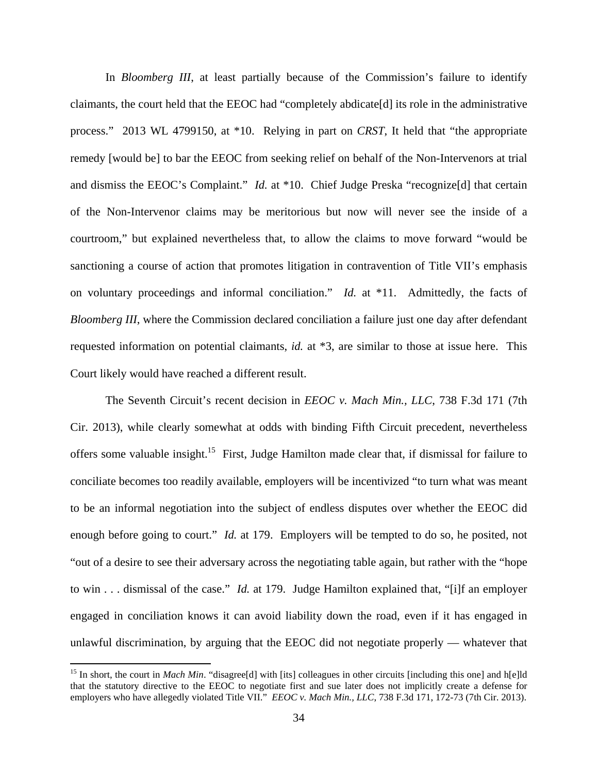In *Bloomberg III*, at least partially because of the Commission's failure to identify claimants, the court held that the EEOC had "completely abdicate[d] its role in the administrative process."2013 WL 4799150, at \*10. Relying in part on *CRST*, It held that "the appropriate remedy [would be] to bar the EEOC from seeking relief on behalf of the Non-Intervenors at trial and dismiss the EEOC's Complaint." *Id.* at \*10. Chief Judge Preska "recognize[d] that certain of the Non-Intervenor claims may be meritorious but now will never see the inside of a courtroom," but explained nevertheless that, to allow the claims to move forward "would be sanctioning a course of action that promotes litigation in contravention of Title VII's emphasis on voluntary proceedings and informal conciliation." *Id.* at \*11. Admittedly, the facts of *Bloomberg III*, where the Commission declared conciliation a failure just one day after defendant requested information on potential claimants, *id.* at \*3, are similar to those at issue here. This Court likely would have reached a different result.

The Seventh Circuit's recent decision in *EEOC v. Mach Min., LLC*, 738 F.3d 171 (7th Cir. 2013), while clearly somewhat at odds with binding Fifth Circuit precedent, nevertheless offers some valuable insight.15 First, Judge Hamilton made clear that, if dismissal for failure to conciliate becomes too readily available, employers will be incentivized "to turn what was meant to be an informal negotiation into the subject of endless disputes over whether the EEOC did enough before going to court." *Id.* at 179. Employers will be tempted to do so, he posited, not "out of a desire to see their adversary across the negotiating table again, but rather with the "hope to win . . . dismissal of the case." *Id.* at 179. Judge Hamilton explained that, "[i]f an employer engaged in conciliation knows it can avoid liability down the road, even if it has engaged in unlawful discrimination, by arguing that the EEOC did not negotiate properly — whatever that

<sup>&</sup>lt;sup>15</sup> In short, the court in *Mach Min*. "disagree<sup>[d]</sup> with [its] colleagues in other circuits [including this one] and h[e]ld that the statutory directive to the EEOC to negotiate first and sue later does not implicitly create a defense for employers who have allegedly violated Title VII." *EEOC v. Mach Min., LLC*, 738 F.3d 171, 172-73 (7th Cir. 2013).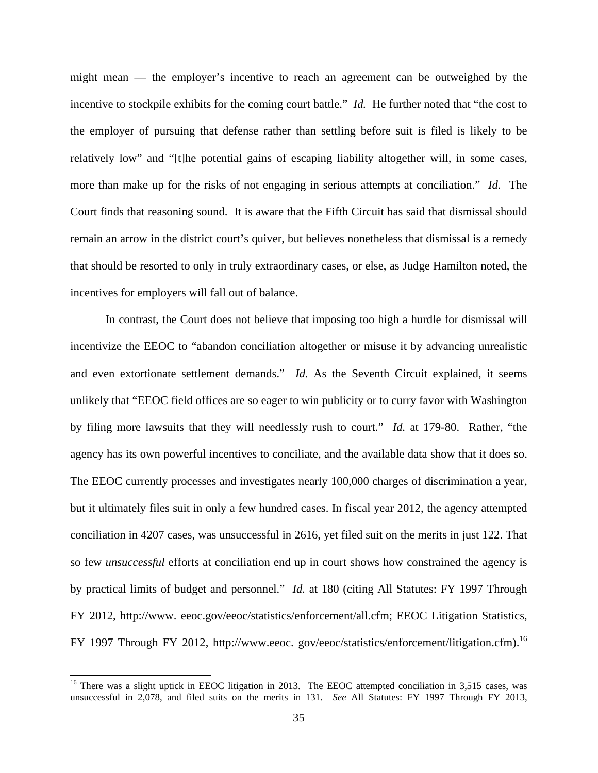might mean — the employer's incentive to reach an agreement can be outweighed by the incentive to stockpile exhibits for the coming court battle." *Id.* He further noted that "the cost to the employer of pursuing that defense rather than settling before suit is filed is likely to be relatively low" and "[t]he potential gains of escaping liability altogether will, in some cases, more than make up for the risks of not engaging in serious attempts at conciliation." *Id.* The Court finds that reasoning sound. It is aware that the Fifth Circuit has said that dismissal should remain an arrow in the district court's quiver, but believes nonetheless that dismissal is a remedy that should be resorted to only in truly extraordinary cases, or else, as Judge Hamilton noted, the incentives for employers will fall out of balance.

In contrast, the Court does not believe that imposing too high a hurdle for dismissal will incentivize the EEOC to "abandon conciliation altogether or misuse it by advancing unrealistic and even extortionate settlement demands." *Id.* As the Seventh Circuit explained, it seems unlikely that "EEOC field offices are so eager to win publicity or to curry favor with Washington by filing more lawsuits that they will needlessly rush to court." *Id.* at 179-80. Rather, "the agency has its own powerful incentives to conciliate, and the available data show that it does so. The EEOC currently processes and investigates nearly 100,000 charges of discrimination a year, but it ultimately files suit in only a few hundred cases. In fiscal year 2012, the agency attempted conciliation in 4207 cases, was unsuccessful in 2616, yet filed suit on the merits in just 122. That so few *unsuccessful* efforts at conciliation end up in court shows how constrained the agency is by practical limits of budget and personnel." *Id.* at 180 (citing All Statutes: FY 1997 Through FY 2012, http://www. eeoc.gov/eeoc/statistics/enforcement/all.cfm; EEOC Litigation Statistics, FY 1997 Through FY 2012, http://www.eeoc. gov/eeoc/statistics/enforcement/litigation.cfm).<sup>16</sup>

<sup>&</sup>lt;sup>16</sup> There was a slight uptick in EEOC litigation in 2013. The EEOC attempted conciliation in 3,515 cases, was unsuccessful in 2,078, and filed suits on the merits in 131. *See* All Statutes: FY 1997 Through FY 2013,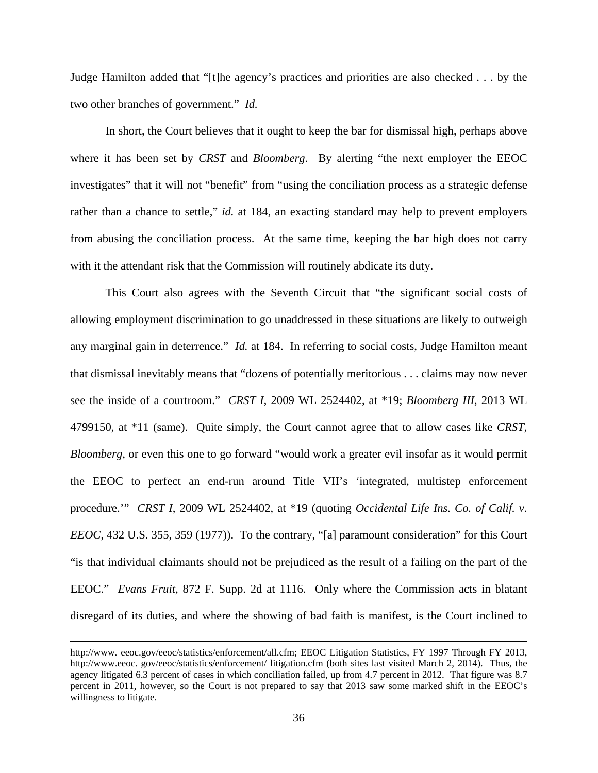Judge Hamilton added that "[t]he agency's practices and priorities are also checked . . . by the two other branches of government." *Id.* 

In short, the Court believes that it ought to keep the bar for dismissal high, perhaps above where it has been set by *CRST* and *Bloomberg*. By alerting "the next employer the EEOC investigates" that it will not "benefit" from "using the conciliation process as a strategic defense rather than a chance to settle," *id.* at 184, an exacting standard may help to prevent employers from abusing the conciliation process. At the same time, keeping the bar high does not carry with it the attendant risk that the Commission will routinely abdicate its duty.

 This Court also agrees with the Seventh Circuit that "the significant social costs of allowing employment discrimination to go unaddressed in these situations are likely to outweigh any marginal gain in deterrence." *Id.* at 184. In referring to social costs, Judge Hamilton meant that dismissal inevitably means that "dozens of potentially meritorious . . . claims may now never see the inside of a courtroom." *CRST I*, 2009 WL 2524402, at \*19; *Bloomberg III*, 2013 WL 4799150, at \*11 (same). Quite simply, the Court cannot agree that to allow cases like *CRST*, *Bloomberg*, or even this one to go forward "would work a greater evil insofar as it would permit the EEOC to perfect an end-run around Title VII's 'integrated, multistep enforcement procedure.'" *CRST I*, 2009 WL 2524402, at \*19 (quoting *Occidental Life Ins. Co. of Calif. v. EEOC*, 432 U.S. 355, 359 (1977)). To the contrary, "[a] paramount consideration" for this Court "is that individual claimants should not be prejudiced as the result of a failing on the part of the EEOC." *Evans Fruit*, 872 F. Supp. 2d at 1116. Only where the Commission acts in blatant disregard of its duties, and where the showing of bad faith is manifest, is the Court inclined to

<u> 1989 - Johann Stoff, amerikansk politiker (d. 1989)</u>

http://www. eeoc.gov/eeoc/statistics/enforcement/all.cfm; EEOC Litigation Statistics, FY 1997 Through FY 2013, http://www.eeoc. gov/eeoc/statistics/enforcement/ litigation.cfm (both sites last visited March 2, 2014). Thus, the agency litigated 6.3 percent of cases in which conciliation failed, up from 4.7 percent in 2012. That figure was 8.7 percent in 2011, however, so the Court is not prepared to say that 2013 saw some marked shift in the EEOC's willingness to litigate.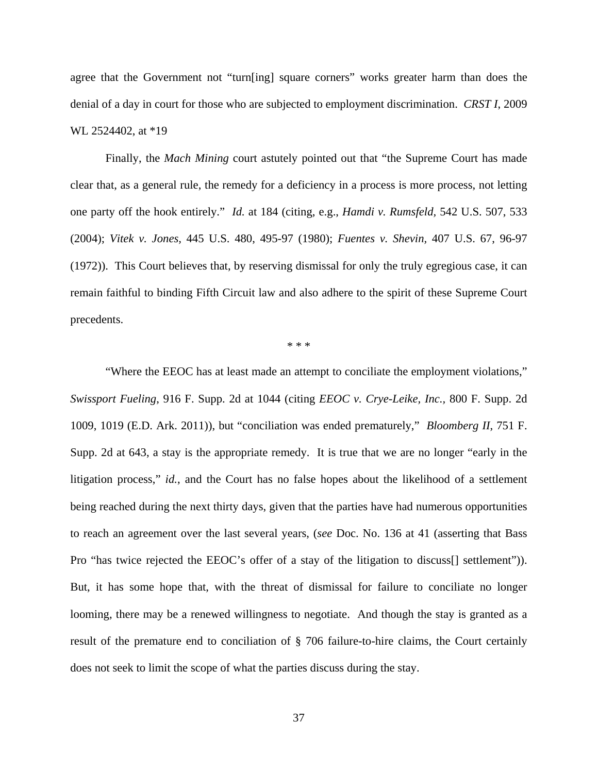agree that the Government not "turn[ing] square corners" works greater harm than does the denial of a day in court for those who are subjected to employment discrimination. *CRST I*, 2009 WL 2524402, at \*19

Finally, the *Mach Mining* court astutely pointed out that "the Supreme Court has made clear that, as a general rule, the remedy for a deficiency in a process is more process, not letting one party off the hook entirely." *Id.* at 184 (citing, e.g., *Hamdi v. Rumsfeld,* 542 U.S. 507, 533 (2004); *Vitek v. Jones,* 445 U.S. 480, 495-97 (1980); *Fuentes v. Shevin,* 407 U.S. 67, 96-97 (1972)). This Court believes that, by reserving dismissal for only the truly egregious case, it can remain faithful to binding Fifth Circuit law and also adhere to the spirit of these Supreme Court precedents.

\* \* \*

"Where the EEOC has at least made an attempt to conciliate the employment violations," *Swissport Fueling*, 916 F. Supp. 2d at 1044 (citing *EEOC v. Crye-Leike, Inc.,* 800 F. Supp. 2d 1009, 1019 (E.D. Ark. 2011)), but "conciliation was ended prematurely," *Bloomberg II*, 751 F. Supp. 2d at 643, a stay is the appropriate remedy. It is true that we are no longer "early in the litigation process," *id.*, and the Court has no false hopes about the likelihood of a settlement being reached during the next thirty days, given that the parties have had numerous opportunities to reach an agreement over the last several years, (*see* Doc. No. 136 at 41 (asserting that Bass Pro "has twice rejected the EEOC's offer of a stay of the litigation to discuss[] settlement")). But, it has some hope that, with the threat of dismissal for failure to conciliate no longer looming, there may be a renewed willingness to negotiate. And though the stay is granted as a result of the premature end to conciliation of § 706 failure-to-hire claims, the Court certainly does not seek to limit the scope of what the parties discuss during the stay.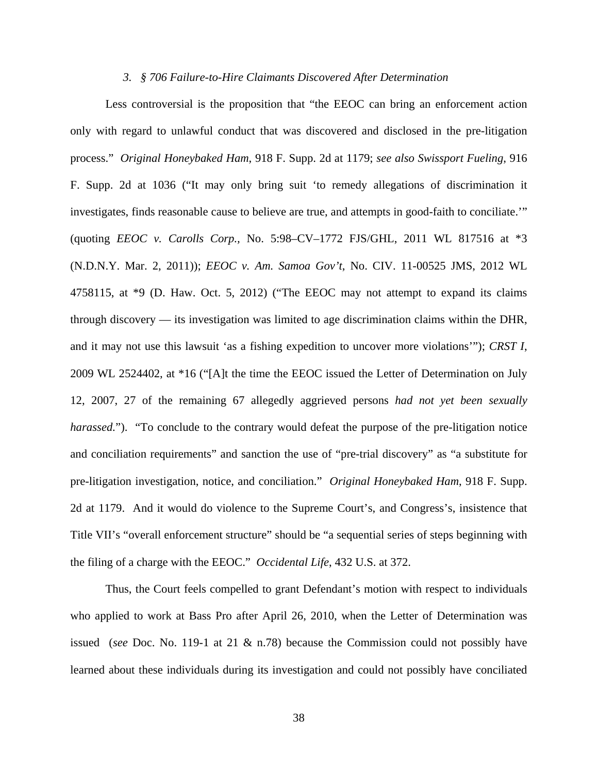#### *3. § 706 Failure-to-Hire Claimants Discovered After Determination*

Less controversial is the proposition that "the EEOC can bring an enforcement action only with regard to unlawful conduct that was discovered and disclosed in the pre-litigation process." *Original Honeybaked Ham*, 918 F. Supp. 2d at 1179; *see also Swissport Fueling*, 916 F. Supp. 2d at 1036 ("It may only bring suit 'to remedy allegations of discrimination it investigates, finds reasonable cause to believe are true, and attempts in good-faith to conciliate.'" (quoting *EEOC v. Carolls Corp.,* No. 5:98–CV–1772 FJS/GHL, 2011 WL 817516 at \*3 (N.D.N.Y. Mar. 2, 2011)); *EEOC v. Am. Samoa Gov't*, No. CIV. 11-00525 JMS, 2012 WL 4758115, at \*9 (D. Haw. Oct. 5, 2012) ("The EEOC may not attempt to expand its claims through discovery — its investigation was limited to age discrimination claims within the DHR, and it may not use this lawsuit 'as a fishing expedition to uncover more violations'"); *CRST I*, 2009 WL 2524402, at \*16 ("[A]t the time the EEOC issued the Letter of Determination on July 12, 2007, 27 of the remaining 67 allegedly aggrieved persons *had not yet been sexually harassed.*"). "To conclude to the contrary would defeat the purpose of the pre-litigation notice and conciliation requirements" and sanction the use of "pre-trial discovery" as "a substitute for pre-litigation investigation, notice, and conciliation." *Original Honeybaked Ham*, 918 F. Supp. 2d at 1179. And it would do violence to the Supreme Court's, and Congress's, insistence that Title VII's "overall enforcement structure" should be "a sequential series of steps beginning with the filing of a charge with the EEOC." *Occidental Life*, 432 U.S. at 372.

Thus, the Court feels compelled to grant Defendant's motion with respect to individuals who applied to work at Bass Pro after April 26, 2010, when the Letter of Determination was issued (*see* Doc. No. 119-1 at 21 & n.78) because the Commission could not possibly have learned about these individuals during its investigation and could not possibly have conciliated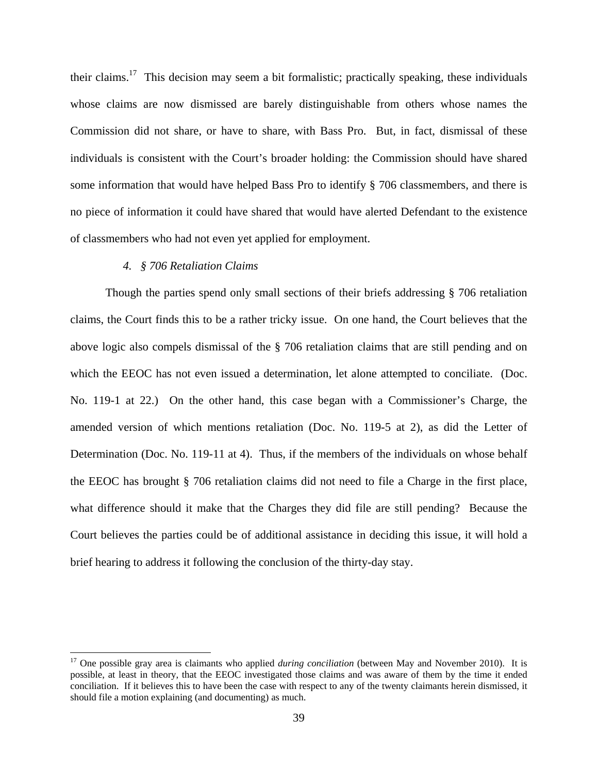their claims.17 This decision may seem a bit formalistic; practically speaking, these individuals whose claims are now dismissed are barely distinguishable from others whose names the Commission did not share, or have to share, with Bass Pro. But, in fact, dismissal of these individuals is consistent with the Court's broader holding: the Commission should have shared some information that would have helped Bass Pro to identify § 706 classmembers, and there is no piece of information it could have shared that would have alerted Defendant to the existence of classmembers who had not even yet applied for employment.

## *4. § 706 Retaliation Claims*

 Though the parties spend only small sections of their briefs addressing § 706 retaliation claims, the Court finds this to be a rather tricky issue. On one hand, the Court believes that the above logic also compels dismissal of the § 706 retaliation claims that are still pending and on which the EEOC has not even issued a determination, let alone attempted to conciliate. (Doc. No. 119-1 at 22.) On the other hand, this case began with a Commissioner's Charge, the amended version of which mentions retaliation (Doc. No. 119-5 at 2), as did the Letter of Determination (Doc. No. 119-11 at 4). Thus, if the members of the individuals on whose behalf the EEOC has brought § 706 retaliation claims did not need to file a Charge in the first place, what difference should it make that the Charges they did file are still pending? Because the Court believes the parties could be of additional assistance in deciding this issue, it will hold a brief hearing to address it following the conclusion of the thirty-day stay.

<sup>&</sup>lt;sup>17</sup> One possible gray area is claimants who applied *during conciliation* (between May and November 2010). It is possible, at least in theory, that the EEOC investigated those claims and was aware of them by the time it ended conciliation. If it believes this to have been the case with respect to any of the twenty claimants herein dismissed, it should file a motion explaining (and documenting) as much.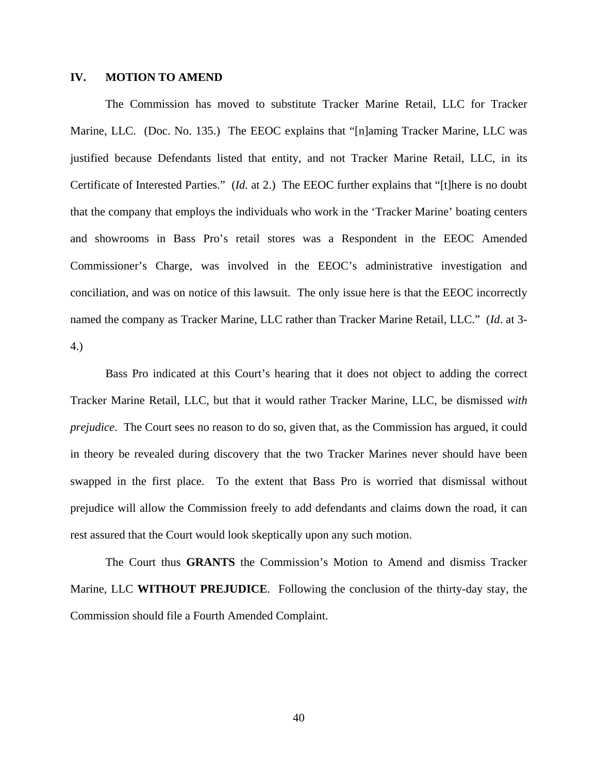#### **IV. MOTION TO AMEND**

The Commission has moved to substitute Tracker Marine Retail, LLC for Tracker Marine, LLC. (Doc. No. 135.) The EEOC explains that "[n]aming Tracker Marine, LLC was justified because Defendants listed that entity, and not Tracker Marine Retail, LLC, in its Certificate of Interested Parties." (*Id.* at 2.) The EEOC further explains that "[t]here is no doubt that the company that employs the individuals who work in the 'Tracker Marine' boating centers and showrooms in Bass Pro's retail stores was a Respondent in the EEOC Amended Commissioner's Charge, was involved in the EEOC's administrative investigation and conciliation, and was on notice of this lawsuit. The only issue here is that the EEOC incorrectly named the company as Tracker Marine, LLC rather than Tracker Marine Retail, LLC." (*Id*. at 3- 4.)

Bass Pro indicated at this Court's hearing that it does not object to adding the correct Tracker Marine Retail, LLC, but that it would rather Tracker Marine, LLC, be dismissed *with prejudice*. The Court sees no reason to do so, given that, as the Commission has argued, it could in theory be revealed during discovery that the two Tracker Marines never should have been swapped in the first place. To the extent that Bass Pro is worried that dismissal without prejudice will allow the Commission freely to add defendants and claims down the road, it can rest assured that the Court would look skeptically upon any such motion.

The Court thus **GRANTS** the Commission's Motion to Amend and dismiss Tracker Marine, LLC **WITHOUT PREJUDICE**. Following the conclusion of the thirty-day stay, the Commission should file a Fourth Amended Complaint.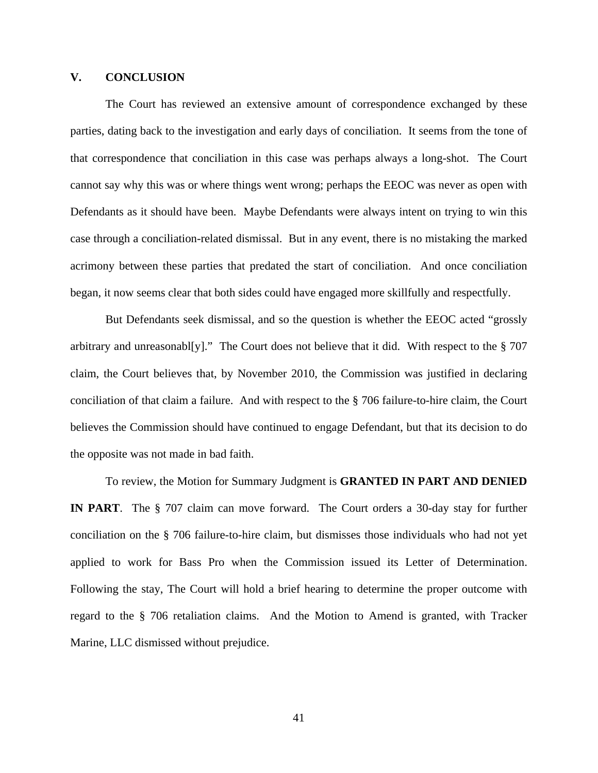# **V. CONCLUSION**

The Court has reviewed an extensive amount of correspondence exchanged by these parties, dating back to the investigation and early days of conciliation. It seems from the tone of that correspondence that conciliation in this case was perhaps always a long-shot. The Court cannot say why this was or where things went wrong; perhaps the EEOC was never as open with Defendants as it should have been. Maybe Defendants were always intent on trying to win this case through a conciliation-related dismissal. But in any event, there is no mistaking the marked acrimony between these parties that predated the start of conciliation. And once conciliation began, it now seems clear that both sides could have engaged more skillfully and respectfully.

 But Defendants seek dismissal, and so the question is whether the EEOC acted "grossly arbitrary and unreasonabl[y]." The Court does not believe that it did. With respect to the § 707 claim, the Court believes that, by November 2010, the Commission was justified in declaring conciliation of that claim a failure. And with respect to the § 706 failure-to-hire claim, the Court believes the Commission should have continued to engage Defendant, but that its decision to do the opposite was not made in bad faith.

 To review, the Motion for Summary Judgment is **GRANTED IN PART AND DENIED IN PART**. The § 707 claim can move forward. The Court orders a 30-day stay for further conciliation on the § 706 failure-to-hire claim, but dismisses those individuals who had not yet applied to work for Bass Pro when the Commission issued its Letter of Determination. Following the stay, The Court will hold a brief hearing to determine the proper outcome with regard to the § 706 retaliation claims. And the Motion to Amend is granted, with Tracker Marine, LLC dismissed without prejudice.